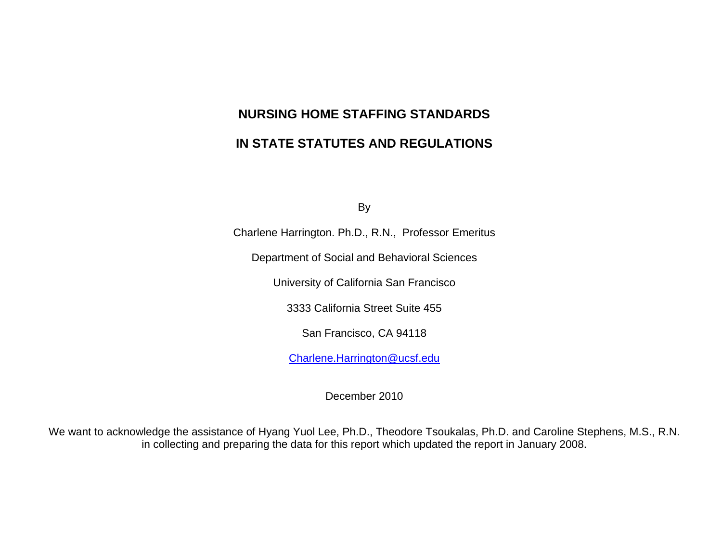By

Charlene Harrington. Ph.D., R.N., Professor Emeritus

Department of Social and Behavioral Sciences

University of California San Francisco

3333 California Street Suite 455

San Francisco, CA 94118

[Charlene.Harrington@ucsf.edu](mailto:Charlene.Harrington@ucsf.edu)

December 2010

We want to acknowledge the assistance of Hyang Yuol Lee, Ph.D., Theodore Tsoukalas, Ph.D. and Caroline Stephens, M.S., R.N. in collecting and preparing the data for this report which updated the report in January 2008.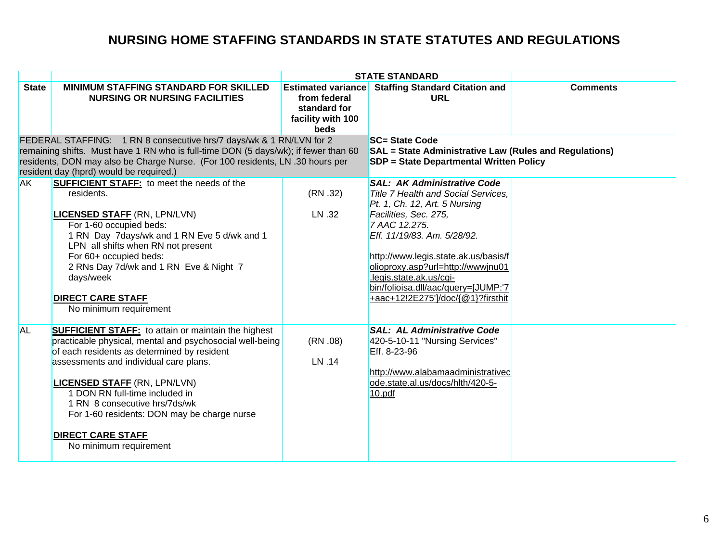|                                                                                                                                                                                                                                                                                        |                                                                                                                                                                                                                                                                                                                                                                                                                                |                                                                                        | <b>STATE STANDARD</b>                                                                                                                                                                                                                                                                                                                                                          |                 |
|----------------------------------------------------------------------------------------------------------------------------------------------------------------------------------------------------------------------------------------------------------------------------------------|--------------------------------------------------------------------------------------------------------------------------------------------------------------------------------------------------------------------------------------------------------------------------------------------------------------------------------------------------------------------------------------------------------------------------------|----------------------------------------------------------------------------------------|--------------------------------------------------------------------------------------------------------------------------------------------------------------------------------------------------------------------------------------------------------------------------------------------------------------------------------------------------------------------------------|-----------------|
| <b>State</b>                                                                                                                                                                                                                                                                           | <b>MINIMUM STAFFING STANDARD FOR SKILLED</b><br><b>NURSING OR NURSING FACILITIES</b>                                                                                                                                                                                                                                                                                                                                           | <b>Estimated variance</b><br>from federal<br>standard for<br>facility with 100<br>beds | <b>Staffing Standard Citation and</b><br><b>URL</b>                                                                                                                                                                                                                                                                                                                            | <b>Comments</b> |
| FEDERAL STAFFING: 1 RN 8 consecutive hrs/7 days/wk & 1 RN/LVN for 2<br>remaining shifts. Must have 1 RN who is full-time DON (5 days/wk); if fewer than 60<br>residents, DON may also be Charge Nurse. (For 100 residents, LN .30 hours per<br>resident day (hprd) would be required.) |                                                                                                                                                                                                                                                                                                                                                                                                                                |                                                                                        | <b>SC= State Code</b><br><b>SAL</b> = State Administrative Law (Rules and Regulations)<br><b>SDP = State Departmental Written Policy</b>                                                                                                                                                                                                                                       |                 |
| <b>AK</b>                                                                                                                                                                                                                                                                              | <b>SUFFICIENT STAFF:</b> to meet the needs of the<br>residents.<br><b>LICENSED STAFF (RN, LPN/LVN)</b><br>For 1-60 occupied beds:<br>1 RN Day 7days/wk and 1 RN Eve 5 d/wk and 1<br>LPN all shifts when RN not present<br>For 60+ occupied beds:<br>2 RNs Day 7d/wk and 1 RN Eve & Night 7<br>days/week<br><b>DIRECT CARE STAFF</b><br>No minimum requirement                                                                  | (RN .32)<br>LN .32                                                                     | <b>SAL: AK Administrative Code</b><br><b>Title 7 Health and Social Services.</b><br>Pt. 1, Ch. 12, Art. 5 Nursing<br>Facilities, Sec. 275,<br>7 AAC 12.275.<br>Eff. 11/19/83. Am. 5/28/92.<br>http://www.legis.state.ak.us/basis/f<br>olioproxy.asp?url=http://wwwjnu01<br>.legis.state.ak.us/cgi-<br>bin/folioisa.dll/aac/query=[JUMP:'7<br>+aac+12!2E275']/doc/{@1}?firsthit |                 |
| <b>AL</b>                                                                                                                                                                                                                                                                              | <b>SUFFICIENT STAFF:</b> to attain or maintain the highest<br>practicable physical, mental and psychosocial well-being<br>of each residents as determined by resident<br>assessments and individual care plans.<br><b>LICENSED STAFF (RN, LPN/LVN)</b><br>1 DON RN full-time included in<br>1 RN 8 consecutive hrs/7ds/wk<br>For 1-60 residents: DON may be charge nurse<br><b>DIRECT CARE STAFF</b><br>No minimum requirement | (RN.08)<br>LN .14                                                                      | <b>SAL: AL Administrative Code</b><br>420-5-10-11 "Nursing Services"<br>Eff. 8-23-96<br>http://www.alabamaadministrativec<br>ode.state.al.us/docs/hlth/420-5-<br>10.pdf                                                                                                                                                                                                        |                 |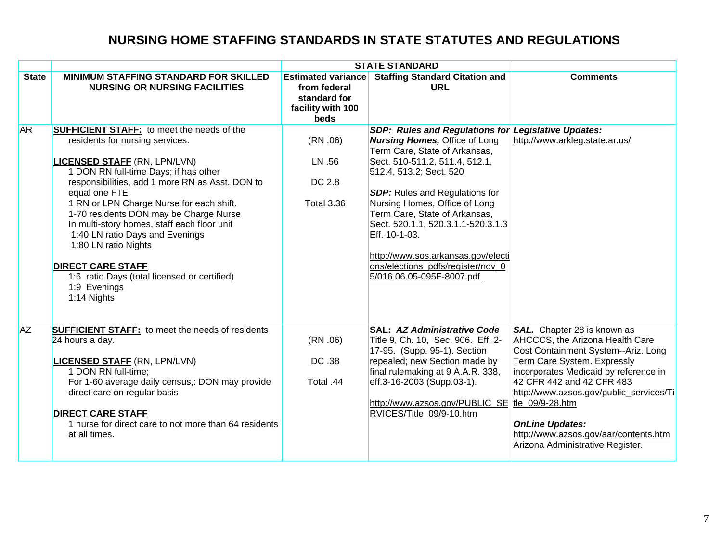|              |                                                                                                                                                                                                                                                                                                                                                                                                                                                                                                                                                     | <b>STATE STANDARD</b>                                                                  |                                                                                                                                                                                                                                                                                                                                                                                                                                                                     |                                                                                                                                                                                                                                                                                                                                                                                 |
|--------------|-----------------------------------------------------------------------------------------------------------------------------------------------------------------------------------------------------------------------------------------------------------------------------------------------------------------------------------------------------------------------------------------------------------------------------------------------------------------------------------------------------------------------------------------------------|----------------------------------------------------------------------------------------|---------------------------------------------------------------------------------------------------------------------------------------------------------------------------------------------------------------------------------------------------------------------------------------------------------------------------------------------------------------------------------------------------------------------------------------------------------------------|---------------------------------------------------------------------------------------------------------------------------------------------------------------------------------------------------------------------------------------------------------------------------------------------------------------------------------------------------------------------------------|
| <b>State</b> | MINIMUM STAFFING STANDARD FOR SKILLED<br><b>NURSING OR NURSING FACILITIES</b>                                                                                                                                                                                                                                                                                                                                                                                                                                                                       | <b>Estimated variance</b><br>from federal<br>standard for<br>facility with 100<br>beds | <b>Staffing Standard Citation and</b><br><b>URL</b>                                                                                                                                                                                                                                                                                                                                                                                                                 | <b>Comments</b>                                                                                                                                                                                                                                                                                                                                                                 |
| <b>AR</b>    | <b>SUFFICIENT STAFF:</b> to meet the needs of the<br>residents for nursing services.<br><b>LICENSED STAFF (RN, LPN/LVN)</b><br>1 DON RN full-time Days; if has other<br>responsibilities, add 1 more RN as Asst. DON to<br>equal one FTE<br>1 RN or LPN Charge Nurse for each shift.<br>1-70 residents DON may be Charge Nurse<br>In multi-story homes, staff each floor unit<br>1:40 LN ratio Days and Evenings<br>1:80 LN ratio Nights<br><b>DIRECT CARE STAFF</b><br>1:6 ratio Days (total licensed or certified)<br>1:9 Evenings<br>1:14 Nights | (RN.06)<br>LN .56<br>DC 2.8<br><b>Total 3.36</b>                                       | SDP: Rules and Regulations for Legislative Updates:<br><b>Nursing Homes, Office of Long</b><br>Term Care, State of Arkansas,<br>Sect. 510-511.2, 511.4, 512.1,<br>512.4, 513.2; Sect. 520<br><b>SDP:</b> Rules and Regulations for<br>Nursing Homes, Office of Long<br>Term Care, State of Arkansas,<br>Sect. 520.1.1, 520.3.1.1-520.3.1.3<br>Eff. 10-1-03.<br>http://www.sos.arkansas.gov/electi<br>ons/elections_pdfs/register/nov_0<br>5/016.06.05-095F-8007.pdf | http://www.arkleg.state.ar.us/                                                                                                                                                                                                                                                                                                                                                  |
| <b>AZ</b>    | <b>SUFFICIENT STAFF:</b> to meet the needs of residents<br>24 hours a day.<br><b>LICENSED STAFF (RN, LPN/LVN)</b><br>1 DON RN full-time;<br>For 1-60 average daily census,: DON may provide<br>direct care on regular basis<br><b>DIRECT CARE STAFF</b><br>1 nurse for direct care to not more than 64 residents<br>at all times.                                                                                                                                                                                                                   | (RN.06)<br>DC .38<br>Total .44                                                         | <b>SAL: AZ Administrative Code</b><br>Title 9, Ch. 10, Sec. 906. Eff. 2-<br>17-95. (Supp. 95-1). Section<br>repealed; new Section made by<br>final rulemaking at 9 A.A.R. 338,<br>eff.3-16-2003 (Supp.03-1).<br>http://www.azsos.gov/PUBLIC_SE<br>RVICES/Title 09/9-10.htm                                                                                                                                                                                          | SAL. Chapter 28 is known as<br>AHCCCS, the Arizona Health Care<br>Cost Containment System--Ariz. Long<br>Term Care System. Expressly<br>incorporates Medicaid by reference in<br>42 CFR 442 and 42 CFR 483<br>http://www.azsos.gov/public_services/Ti<br>tle_09/9-28.htm<br><b>OnLine Updates:</b><br>http://www.azsos.gov/aar/contents.htm<br>Arizona Administrative Register. |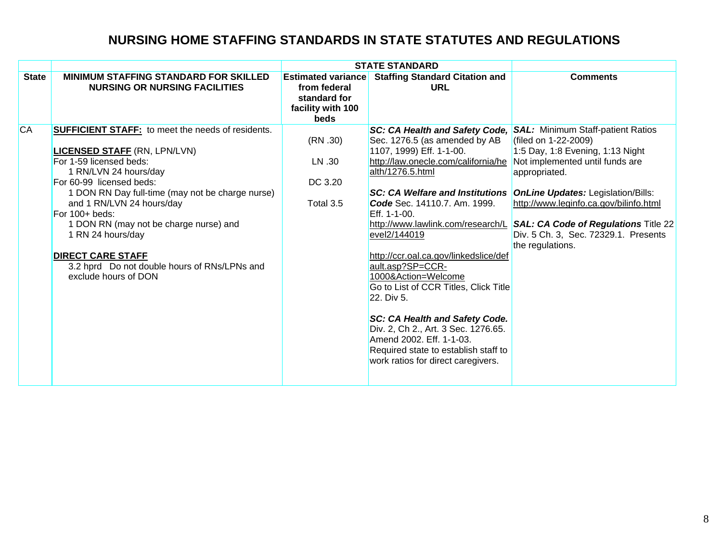| <b>Estimated variance</b><br><b>Staffing Standard Citation and</b><br><b>State</b><br><b>MINIMUM STAFFING STANDARD FOR SKILLED</b><br><b>Comments</b><br><b>NURSING OR NURSING FACILITIES</b><br>URL<br>from federal<br>standard for<br>facility with 100<br><b>beds</b><br><b>CA</b><br><b>SUFFICIENT STAFF:</b> to meet the needs of residents.<br>SC: CA Health and Safety Code,<br><b>SAL: Minimum Staff-patient Ratios</b><br>(RN.30)<br>Sec. 1276.5 (as amended by AB<br>(filed on 1-22-2009)<br>1107, 1999) Eff. 1-1-00.<br>1:5 Day, 1:8 Evening, 1:13 Night<br><b>LICENSED STAFF (RN, LPN/LVN)</b>                                                                                                                                                                                                                                                                                                                         |                         |        | <b>STATE STANDARD</b>               |                                                                                                                                                                  |
|------------------------------------------------------------------------------------------------------------------------------------------------------------------------------------------------------------------------------------------------------------------------------------------------------------------------------------------------------------------------------------------------------------------------------------------------------------------------------------------------------------------------------------------------------------------------------------------------------------------------------------------------------------------------------------------------------------------------------------------------------------------------------------------------------------------------------------------------------------------------------------------------------------------------------------|-------------------------|--------|-------------------------------------|------------------------------------------------------------------------------------------------------------------------------------------------------------------|
|                                                                                                                                                                                                                                                                                                                                                                                                                                                                                                                                                                                                                                                                                                                                                                                                                                                                                                                                    |                         |        |                                     |                                                                                                                                                                  |
| alth/1276.5.html<br>1 RN/LVN 24 hours/day<br>appropriated.<br>DC 3.20<br>For 60-99 licensed beds:<br>1 DON RN Day full-time (may not be charge nurse)<br><b>SC: CA Welfare and Institutions</b><br><b>OnLine Updates: Legislation/Bills:</b><br>and 1 RN/LVN 24 hours/day<br>Total 3.5<br>Code Sec. 14110.7. Am. 1999.<br>For 100+ beds:<br>Eff. 1-1-00.<br>1 DON RN (may not be charge nurse) and<br>http://www.lawlink.com/research/L<br>evel2/144019<br>1 RN 24 hours/day<br>the regulations.<br><b>DIRECT CARE STAFF</b><br>http://ccr.oal.ca.gov/linkedslice/def<br>3.2 hprd Do not double hours of RNs/LPNs and<br>ault.asp?SP=CCR-<br>1000&Action=Welcome<br>exclude hours of DON<br>Go to List of CCR Titles, Click Title<br>22. Div 5.<br>SC: CA Health and Safety Code.<br>Div. 2, Ch 2., Art. 3 Sec. 1276.65.<br>Amend 2002. Eff. 1-1-03.<br>Required state to establish staff to<br>work ratios for direct caregivers. | For 1-59 licensed beds: | LN .30 | http://law.onecle.com/california/he | Not implemented until funds are<br>http://www.leginfo.ca.gov/bilinfo.html<br><b>SAL: CA Code of Regulations Title 22</b><br>Div. 5 Ch. 3, Sec. 72329.1. Presents |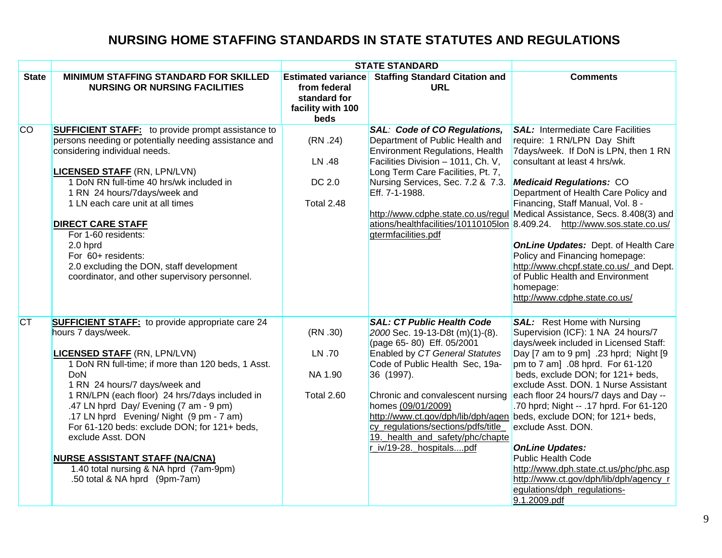|              |                                                                                                                                                                                                                                                                                                                                                                                                                                                                                                                                                            |                                                                                        | <b>STATE STANDARD</b>                                                                                                                                                                                                                                                                                                                                 |                                                                                                                                                                                                                                                                                                                                                                                                                                                                                                                                                                                                                                                         |
|--------------|------------------------------------------------------------------------------------------------------------------------------------------------------------------------------------------------------------------------------------------------------------------------------------------------------------------------------------------------------------------------------------------------------------------------------------------------------------------------------------------------------------------------------------------------------------|----------------------------------------------------------------------------------------|-------------------------------------------------------------------------------------------------------------------------------------------------------------------------------------------------------------------------------------------------------------------------------------------------------------------------------------------------------|---------------------------------------------------------------------------------------------------------------------------------------------------------------------------------------------------------------------------------------------------------------------------------------------------------------------------------------------------------------------------------------------------------------------------------------------------------------------------------------------------------------------------------------------------------------------------------------------------------------------------------------------------------|
| <b>State</b> | MINIMUM STAFFING STANDARD FOR SKILLED<br><b>NURSING OR NURSING FACILITIES</b>                                                                                                                                                                                                                                                                                                                                                                                                                                                                              | <b>Estimated variance</b><br>from federal<br>standard for<br>facility with 100<br>beds | <b>Staffing Standard Citation and</b><br><b>URL</b>                                                                                                                                                                                                                                                                                                   | <b>Comments</b>                                                                                                                                                                                                                                                                                                                                                                                                                                                                                                                                                                                                                                         |
| <b>CO</b>    | <b>SUFFICIENT STAFF:</b> to provide prompt assistance to<br>persons needing or potentially needing assistance and<br>considering individual needs.<br><b>LICENSED STAFF (RN, LPN/LVN)</b><br>1 DoN RN full-time 40 hrs/wk included in<br>1 RN 24 hours/7days/week and<br>1 LN each care unit at all times<br><b>DIRECT CARE STAFF</b><br>For 1-60 residents:<br>2.0 hprd<br>For 60+ residents:<br>2.0 excluding the DON, staff development<br>coordinator, and other supervisory personnel.                                                                | (RN.24)<br>LN .48<br>DC 2.0<br><b>Total 2.48</b>                                       | <b>SAL: Code of CO Regulations,</b><br>Department of Public Health and<br><b>Environment Regulations, Health</b><br>Facilities Division - 1011, Ch. V,<br>Long Term Care Facilities, Pt. 7,<br>Nursing Services, Sec. 7.2 & 7.3.<br>Eff. 7-1-1988.<br>gtermfacilities.pdf                                                                             | <b>SAL: Intermediate Care Facilities</b><br>require: 1 RN/LPN Day Shift<br>7days/week. If DoN is LPN, then 1 RN<br>consultant at least 4 hrs/wk.<br><b>Medicaid Regulations: CO</b><br>Department of Health Care Policy and<br>Financing, Staff Manual, Vol. 8 -<br>http://www.cdphe.state.co.us/regul Medical Assistance, Secs. 8.408(3) and<br>ations/healthfacilities/10110105lon 8.409.24. http://www.sos.state.co.us/<br><b>OnLine Updates: Dept. of Health Care</b><br>Policy and Financing homepage:<br>http://www.chcpf.state.co.us/ and Dept.<br>of Public Health and Environment<br>homepage:<br>http://www.cdphe.state.co.us/                |
| <b>CT</b>    | <b>SUFFICIENT STAFF:</b> to provide appropriate care 24<br>hours 7 days/week.<br><b>LICENSED STAFF (RN, LPN/LVN)</b><br>1 DoN RN full-time; if more than 120 beds, 1 Asst.<br><b>DoN</b><br>1 RN 24 hours/7 days/week and<br>1 RN/LPN (each floor) 24 hrs/7days included in<br>.47 LN hprd Day/ Evening (7 am - 9 pm)<br>.17 LN hprd Evening/ Night (9 pm - 7 am)<br>For 61-120 beds: exclude DON; for 121+ beds,<br>exclude Asst. DON<br><b>NURSE ASSISTANT STAFF (NA/CNA)</b><br>1.40 total nursing & NA hprd (7am-9pm)<br>.50 total & NA hprd (9pm-7am) | (RN.30)<br>LN .70<br>NA 1.90<br>Total 2.60                                             | <b>SAL: CT Public Health Code</b><br>2000 Sec. 19-13-D8t (m)(1)-(8).<br>(page 65-80) Eff. 05/2001<br>Enabled by CT General Statutes<br>Code of Public Health Sec, 19a-<br>36 (1997).<br>Chronic and convalescent nursing<br>homes (09/01/2009)<br>cy_regulations/sections/pdfs/title_<br>19. health_and_safety/phc/chapte<br>r_iv/19-28._hospitalspdf | <b>SAL:</b> Rest Home with Nursing<br>Supervision (ICF): 1 NA 24 hours/7<br>days/week included in Licensed Staff:<br>Day [7 am to 9 pm] .23 hprd; Night [9<br>pm to 7 am] .08 hprd. For 61-120<br>beds, exclude DON; for 121+ beds,<br>exclude Asst. DON. 1 Nurse Assistant<br>each floor 24 hours/7 days and Day --<br>.70 hprd; Night -- .17 hprd. For 61-120<br>http://www.ct.gov/dph/lib/dph/agen beds, exclude DON; for 121+ beds,<br>exclude Asst. DON.<br><b>OnLine Updates:</b><br><b>Public Health Code</b><br>http://www.dph.state.ct.us/phc/phc.asp<br>http://www.ct.gov/dph/lib/dph/agency_r<br>egulations/dph_regulations-<br>9.1.2009.pdf |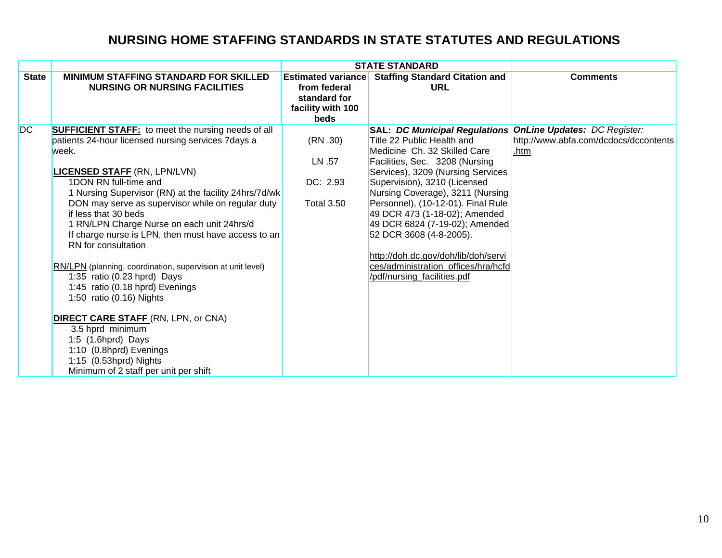|              |                                                                                                                                                                                                                                                                                                                                                                                                                                                                                                                                                                                                                                                                                                                                                                                                              |                                                                                        | <b>STATE STANDARD</b>                                                                                                                                                                                                                                                                                                                                                                                                                                                                                                       |                                               |
|--------------|--------------------------------------------------------------------------------------------------------------------------------------------------------------------------------------------------------------------------------------------------------------------------------------------------------------------------------------------------------------------------------------------------------------------------------------------------------------------------------------------------------------------------------------------------------------------------------------------------------------------------------------------------------------------------------------------------------------------------------------------------------------------------------------------------------------|----------------------------------------------------------------------------------------|-----------------------------------------------------------------------------------------------------------------------------------------------------------------------------------------------------------------------------------------------------------------------------------------------------------------------------------------------------------------------------------------------------------------------------------------------------------------------------------------------------------------------------|-----------------------------------------------|
| <b>State</b> | <b>MINIMUM STAFFING STANDARD FOR SKILLED</b><br><b>NURSING OR NURSING FACILITIES</b>                                                                                                                                                                                                                                                                                                                                                                                                                                                                                                                                                                                                                                                                                                                         | <b>Estimated variance</b><br>from federal<br>standard for<br>facility with 100<br>beds | <b>Staffing Standard Citation and</b><br><b>URL</b>                                                                                                                                                                                                                                                                                                                                                                                                                                                                         | <b>Comments</b>                               |
| <b>DC</b>    | <b>SUFFICIENT STAFF:</b> to meet the nursing needs of all<br>patients 24-hour licensed nursing services 7days a<br>week.<br><b>LICENSED STAFF (RN, LPN/LVN)</b><br>1DON RN full-time and<br>1 Nursing Supervisor (RN) at the facility 24hrs/7d/wk<br>DON may serve as supervisor while on regular duty<br>if less that 30 beds<br>1 RN/LPN Charge Nurse on each unit 24hrs/d<br>If charge nurse is LPN, then must have access to an<br>RN for consultation<br>RN/LPN (planning, coordination, supervision at unit level)<br>1:35 ratio (0.23 hprd) Days<br>1:45 ratio (0.18 hprd) Evenings<br>1:50 ratio (0.16) Nights<br><b>DIRECT CARE STAFF (RN, LPN, or CNA)</b><br>3.5 hprd minimum<br>1:5 (1.6hprd) Days<br>1:10 (0.8hprd) Evenings<br>1:15 (0.53hprd) Nights<br>Minimum of 2 staff per unit per shift | (RN.30)<br>LN .57<br>DC: 2.93<br><b>Total 3.50</b>                                     | <b>SAL: DC Municipal Regulations OnLine Updates: DC Register:</b><br>Title 22 Public Health and<br>Medicine Ch. 32 Skilled Care<br>Facilities, Sec. 3208 (Nursing<br>Services), 3209 (Nursing Services<br>Supervision), 3210 (Licensed<br>Nursing Coverage), 3211 (Nursing<br>Personnel), (10-12-01). Final Rule<br>49 DCR 473 (1-18-02); Amended<br>49 DCR 6824 (7-19-02); Amended<br>52 DCR 3608 (4-8-2005).<br>http://doh.dc.gov/doh/lib/doh/servi<br>ces/administration offices/hra/hcfd<br>/pdf/nursing_facilities.pdf | http://www.abfa.com/dcdocs/dccontents<br>.htm |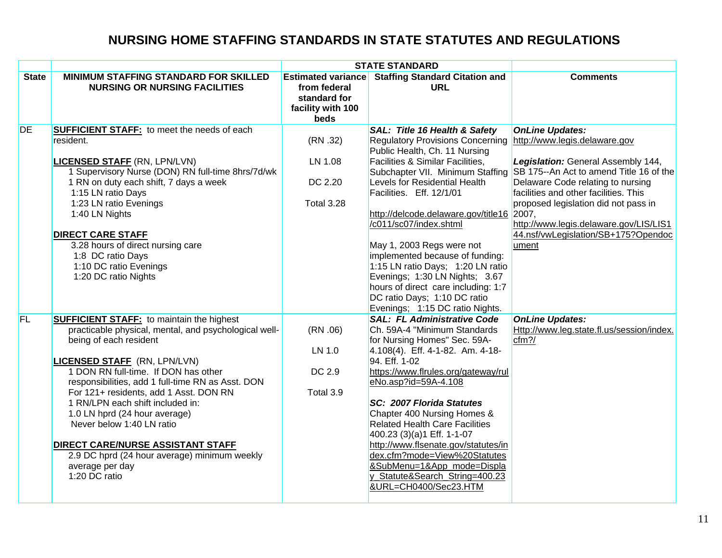|              |                                                                                                                                                                                                                                                                                                                                                                                                                                                                                                                                                     | <b>STATE STANDARD</b>                                                                  |                                                                                                                                                                                                                                                                                                                                                                                                                                                                                                                                                                                                          |                                                                                                                                                                                                                                                                                                                         |  |
|--------------|-----------------------------------------------------------------------------------------------------------------------------------------------------------------------------------------------------------------------------------------------------------------------------------------------------------------------------------------------------------------------------------------------------------------------------------------------------------------------------------------------------------------------------------------------------|----------------------------------------------------------------------------------------|----------------------------------------------------------------------------------------------------------------------------------------------------------------------------------------------------------------------------------------------------------------------------------------------------------------------------------------------------------------------------------------------------------------------------------------------------------------------------------------------------------------------------------------------------------------------------------------------------------|-------------------------------------------------------------------------------------------------------------------------------------------------------------------------------------------------------------------------------------------------------------------------------------------------------------------------|--|
| <b>State</b> | <b>MINIMUM STAFFING STANDARD FOR SKILLED</b><br><b>NURSING OR NURSING FACILITIES</b>                                                                                                                                                                                                                                                                                                                                                                                                                                                                | <b>Estimated variance</b><br>from federal<br>standard for<br>facility with 100<br>beds | <b>Staffing Standard Citation and</b><br><b>URL</b>                                                                                                                                                                                                                                                                                                                                                                                                                                                                                                                                                      | <b>Comments</b>                                                                                                                                                                                                                                                                                                         |  |
| <b>DE</b>    | <b>SUFFICIENT STAFF:</b> to meet the needs of each<br>resident.<br><b>LICENSED STAFF (RN, LPN/LVN)</b><br>1 Supervisory Nurse (DON) RN full-time 8hrs/7d/wk<br>1 RN on duty each shift, 7 days a week<br>1:15 LN ratio Days<br>1:23 LN ratio Evenings<br>1:40 LN Nights<br><b>DIRECT CARE STAFF</b><br>3.28 hours of direct nursing care<br>1:8 DC ratio Days<br>1:10 DC ratio Evenings<br>1:20 DC ratio Nights                                                                                                                                     | (RN.32)<br>LN 1.08<br>DC 2.20<br><b>Total 3.28</b>                                     | <b>SAL: Title 16 Health &amp; Safety</b><br>Regulatory Provisions Concerning http://www.legis.delaware.gov<br>Public Health, Ch. 11 Nursing<br>Facilities & Similar Facilities,<br>Subchapter VII. Minimum Staffing<br>Levels for Residential Health<br>Facilities. Eff. 12/1/01<br>http://delcode.delaware.gov/title16 2007,<br>/c011/sc07/index.shtml<br>May 1, 2003 Regs were not<br>implemented because of funding:<br>1:15 LN ratio Days; 1:20 LN ratio<br>Evenings; 1:30 LN Nights; 3.67<br>hours of direct care including: 1:7<br>DC ratio Days; 1:10 DC ratio<br>Evenings; 1:15 DC ratio Nights. | <b>OnLine Updates:</b><br>Legislation: General Assembly 144,<br>SB 175--An Act to amend Title 16 of the<br>Delaware Code relating to nursing<br>facilities and other facilities. This<br>proposed legislation did not pass in<br>http://www.legis.delaware.gov/LIS/LIS1<br>44.nsf/vwLegislation/SB+175?Opendoc<br>ument |  |
| FL           | <b>SUFFICIENT STAFF:</b> to maintain the highest<br>practicable physical, mental, and psychological well-<br>being of each resident<br><b>LICENSED STAFF</b> (RN, LPN/LVN)<br>1 DON RN full-time. If DON has other<br>responsibilities, add 1 full-time RN as Asst. DON<br>For 121+ residents, add 1 Asst. DON RN<br>1 RN/LPN each shift included in:<br>1.0 LN hprd (24 hour average)<br>Never below 1:40 LN ratio<br><b>DIRECT CARE/NURSE ASSISTANT STAFF</b><br>2.9 DC hprd (24 hour average) minimum weekly<br>average per day<br>1:20 DC ratio | (RN.06)<br>LN 1.0<br>DC 2.9<br>Total 3.9                                               | <b>SAL: FL Administrative Code</b><br>Ch. 59A-4 "Minimum Standards<br>for Nursing Homes" Sec. 59A-<br>4.108(4). Eff. 4-1-82. Am. 4-18-<br>94. Eff. 1-02<br>https://www.flrules.org/gateway/rul<br>eNo.asp?id=59A-4.108<br>SC: 2007 Florida Statutes<br>Chapter 400 Nursing Homes &<br><b>Related Health Care Facilities</b><br>400.23 (3)(a)1 Eff. 1-1-07<br>http://www.flsenate.gov/statutes/in<br>dex.cfm?mode=View%20Statutes<br>&SubMenu=1&App_mode=Displa<br>y_Statute&Search_String=400.23<br>&URL=CH0400/Sec23.HTM                                                                                | <b>OnLine Updates:</b><br>Http://www.leg.state.fl.us/session/index.<br>cfm?/                                                                                                                                                                                                                                            |  |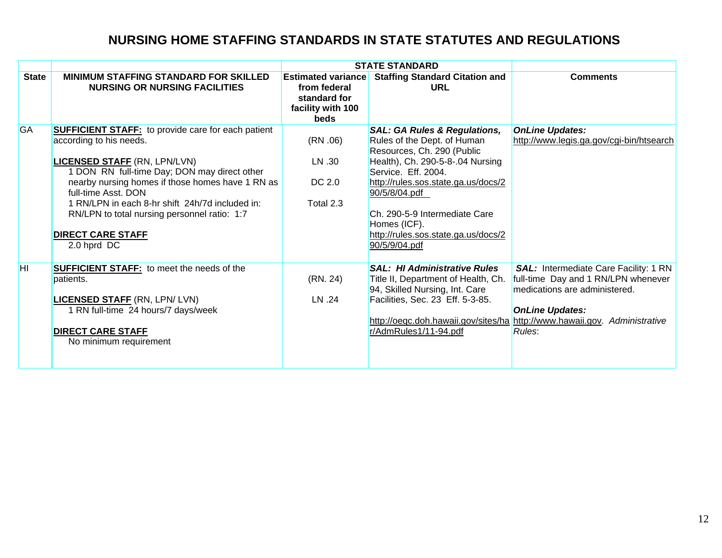|              |                                                                                                                                                                                                                                                                                                                                                                                                      |                                                                                               | <b>STATE STANDARD</b>                                                                                                                                                                                                                                                                                                            |                                                                                                                                                                                            |
|--------------|------------------------------------------------------------------------------------------------------------------------------------------------------------------------------------------------------------------------------------------------------------------------------------------------------------------------------------------------------------------------------------------------------|-----------------------------------------------------------------------------------------------|----------------------------------------------------------------------------------------------------------------------------------------------------------------------------------------------------------------------------------------------------------------------------------------------------------------------------------|--------------------------------------------------------------------------------------------------------------------------------------------------------------------------------------------|
| <b>State</b> | <b>MINIMUM STAFFING STANDARD FOR SKILLED</b><br><b>NURSING OR NURSING FACILITIES</b>                                                                                                                                                                                                                                                                                                                 | <b>Estimated variance</b><br>from federal<br>standard for<br>facility with 100<br><b>beds</b> | <b>Staffing Standard Citation and</b><br>URL                                                                                                                                                                                                                                                                                     | <b>Comments</b>                                                                                                                                                                            |
| GA           | <b>SUFFICIENT STAFF:</b> to provide care for each patient<br>according to his needs.<br><b>LICENSED STAFF (RN, LPN/LVN)</b><br>1 DON RN full-time Day; DON may direct other<br>nearby nursing homes if those homes have 1 RN as<br>full-time Asst. DON<br>1 RN/LPN in each 8-hr shift 24h/7d included in:<br>RN/LPN to total nursing personnel ratio: 1:7<br><b>DIRECT CARE STAFF</b><br>2.0 hprd DC | (RN.06)<br>LN .30<br>DC 2.0<br>Total 2.3                                                      | <b>SAL: GA Rules &amp; Regulations,</b><br>Rules of the Dept. of Human<br>Resources, Ch. 290 (Public<br>Health), Ch. 290-5-8-.04 Nursing<br>Service. Eff. 2004.<br>http://rules.sos.state.ga.us/docs/2<br>90/5/8/04.pdf<br>Ch. 290-5-9 Intermediate Care<br>Homes (ICF).<br>http://rules.sos.state.ga.us/docs/2<br>90/5/9/04.pdf | <b>OnLine Updates:</b><br>http://www.legis.ga.gov/cgi-bin/htsearch                                                                                                                         |
| İНI          | <b>SUFFICIENT STAFF:</b> to meet the needs of the<br>patients.<br><b>LICENSED STAFF (RN, LPN/ LVN)</b><br>1 RN full-time 24 hours/7 days/week<br><b>DIRECT CARE STAFF</b><br>No minimum requirement                                                                                                                                                                                                  | (RN. 24)<br>LN .24                                                                            | <b>SAL: HI Administrative Rules</b><br>Title II, Department of Health, Ch.<br>94, Skilled Nursing, Int. Care<br>Facilities, Sec. 23 Eff. 5-3-85.<br>http://oeqc.doh.hawaii.gov/sites/ha<br>r/AdmRules1/11-94.pdf                                                                                                                 | SAL: Intermediate Care Facility: 1 RN<br>full-time Day and 1 RN/LPN whenever<br>medications are administered.<br><b>OnLine Updates:</b><br>http://www.hawaii.gov. Administrative<br>Rules: |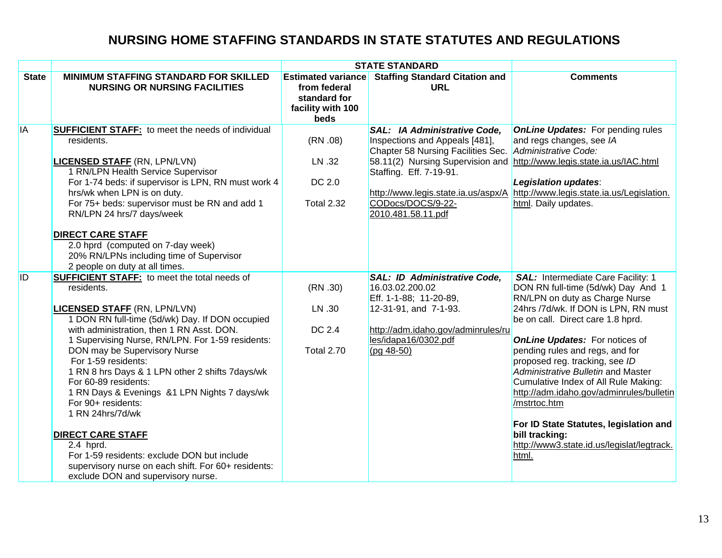|              |                                                                                                                                                                                                                                                                                                                                                                                                                                                                                                                                                                                                                                                                                                                 |                                                                                        | <b>STATE STANDARD</b>                                                                                                                                                                                                                                        |                                                                                                                                                                                                                                                                                                                                                                                                                                                                                                                                                                           |
|--------------|-----------------------------------------------------------------------------------------------------------------------------------------------------------------------------------------------------------------------------------------------------------------------------------------------------------------------------------------------------------------------------------------------------------------------------------------------------------------------------------------------------------------------------------------------------------------------------------------------------------------------------------------------------------------------------------------------------------------|----------------------------------------------------------------------------------------|--------------------------------------------------------------------------------------------------------------------------------------------------------------------------------------------------------------------------------------------------------------|---------------------------------------------------------------------------------------------------------------------------------------------------------------------------------------------------------------------------------------------------------------------------------------------------------------------------------------------------------------------------------------------------------------------------------------------------------------------------------------------------------------------------------------------------------------------------|
| <b>State</b> | <b>MINIMUM STAFFING STANDARD FOR SKILLED</b><br><b>NURSING OR NURSING FACILITIES</b>                                                                                                                                                                                                                                                                                                                                                                                                                                                                                                                                                                                                                            | <b>Estimated variance</b><br>from federal<br>standard for<br>facility with 100<br>beds | <b>Staffing Standard Citation and</b><br><b>URL</b>                                                                                                                                                                                                          | <b>Comments</b>                                                                                                                                                                                                                                                                                                                                                                                                                                                                                                                                                           |
| <b>IA</b>    | <b>SUFFICIENT STAFF:</b> to meet the needs of individual<br>residents.<br><b>LICENSED STAFF (RN, LPN/LVN)</b><br>1 RN/LPN Health Service Supervisor<br>For 1-74 beds: if supervisor is LPN, RN must work 4<br>hrs/wk when LPN is on duty.<br>For 75+ beds: supervisor must be RN and add 1<br>RN/LPN 24 hrs/7 days/week<br><b>DIRECT CARE STAFF</b><br>2.0 hprd (computed on 7-day week)<br>20% RN/LPNs including time of Supervisor                                                                                                                                                                                                                                                                            | (RN.08)<br>LN .32<br>DC 2.0<br><b>Total 2.32</b>                                       | <b>SAL: IA Administrative Code,</b><br>Inspections and Appeals [481],<br>Chapter 58 Nursing Facilities Sec.<br>58.11(2) Nursing Supervision and<br>Staffing. Eff. 7-19-91.<br>http://www.legis.state.ia.us/aspx/A<br>CODocs/DOCS/9-22-<br>2010.481.58.11.pdf | <b>OnLine Updates:</b> For pending rules<br>and regs changes, see IA<br>Administrative Code:<br>http://www.legis.state.ia.us/IAC.html<br>Legislation updates:<br>http://www.legis.state.ia.us/Legislation.<br>html. Daily updates.                                                                                                                                                                                                                                                                                                                                        |
| <b>ID</b>    | 2 people on duty at all times.<br><b>SUFFICIENT STAFF:</b> to meet the total needs of<br>residents.<br><b>LICENSED STAFF (RN, LPN/LVN)</b><br>1 DON RN full-time (5d/wk) Day. If DON occupied<br>with administration, then 1 RN Asst. DON.<br>1 Supervising Nurse, RN/LPN. For 1-59 residents:<br>DON may be Supervisory Nurse<br>For 1-59 residents:<br>1 RN 8 hrs Days & 1 LPN other 2 shifts 7days/wk<br>For 60-89 residents:<br>1 RN Days & Evenings &1 LPN Nights 7 days/wk<br>For 90+ residents:<br>1 RN 24hrs/7d/wk<br><b>DIRECT CARE STAFF</b><br>2.4 hprd.<br>For 1-59 residents: exclude DON but include<br>supervisory nurse on each shift. For 60+ residents:<br>exclude DON and supervisory nurse. | (RN.30)<br>LN .30<br>DC 2.4<br><b>Total 2.70</b>                                       | SAL: ID Administrative Code,<br>16.03.02.200.02<br>Eff. 1-1-88; 11-20-89,<br>12-31-91, and 7-1-93.<br>http://adm.idaho.gov/adminrules/ru<br>les/idapa16/0302.pdf<br>$(pq 48-50)$                                                                             | <b>SAL: Intermediate Care Facility: 1</b><br>DON RN full-time (5d/wk) Day And 1<br>RN/LPN on duty as Charge Nurse<br>24hrs /7d/wk. If DON is LPN, RN must<br>be on call. Direct care 1.8 hprd.<br><b>OnLine Updates:</b> For notices of<br>pending rules and regs, and for<br>proposed reg. tracking, see ID<br>Administrative Bulletin and Master<br>Cumulative Index of All Rule Making:<br>http://adm.idaho.gov/adminrules/bulletin<br>/mstrtoc.htm<br>For ID State Statutes, legislation and<br>bill tracking:<br>http://www3.state.id.us/legislat/legtrack.<br>html. |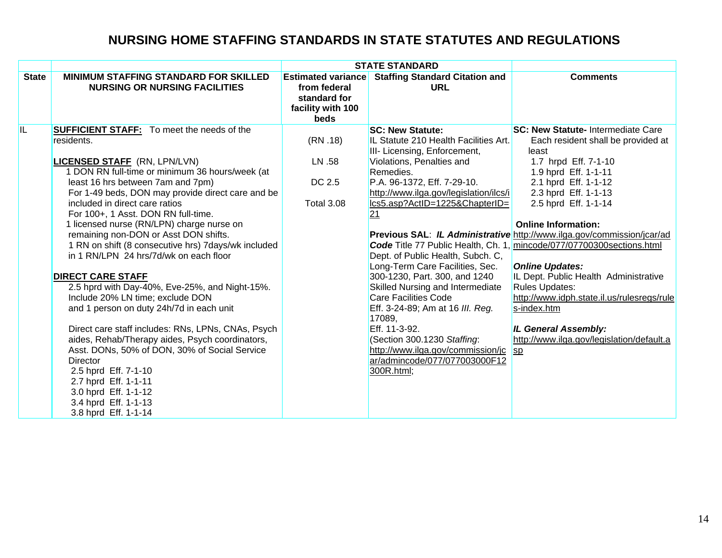|              |                                                                                                                                                                                                                                                                                                                                                                                                                                                                                                                                                                                                                                                                                                                                                                                                                                             |                                                                                        | <b>STATE STANDARD</b>                                                                                                                                                                                                                                                                                                                                                                                                                                                                                                                                                      |                                                                                                                                                                                                                                                                                                                                                                                                                                                                                                                                                                                                                                                             |
|--------------|---------------------------------------------------------------------------------------------------------------------------------------------------------------------------------------------------------------------------------------------------------------------------------------------------------------------------------------------------------------------------------------------------------------------------------------------------------------------------------------------------------------------------------------------------------------------------------------------------------------------------------------------------------------------------------------------------------------------------------------------------------------------------------------------------------------------------------------------|----------------------------------------------------------------------------------------|----------------------------------------------------------------------------------------------------------------------------------------------------------------------------------------------------------------------------------------------------------------------------------------------------------------------------------------------------------------------------------------------------------------------------------------------------------------------------------------------------------------------------------------------------------------------------|-------------------------------------------------------------------------------------------------------------------------------------------------------------------------------------------------------------------------------------------------------------------------------------------------------------------------------------------------------------------------------------------------------------------------------------------------------------------------------------------------------------------------------------------------------------------------------------------------------------------------------------------------------------|
| <b>State</b> | <b>MINIMUM STAFFING STANDARD FOR SKILLED</b><br><b>NURSING OR NURSING FACILITIES</b>                                                                                                                                                                                                                                                                                                                                                                                                                                                                                                                                                                                                                                                                                                                                                        | <b>Estimated variance</b><br>from federal<br>standard for<br>facility with 100<br>beds | <b>Staffing Standard Citation and</b><br><b>URL</b>                                                                                                                                                                                                                                                                                                                                                                                                                                                                                                                        | <b>Comments</b>                                                                                                                                                                                                                                                                                                                                                                                                                                                                                                                                                                                                                                             |
| IL           | <b>SUFFICIENT STAFF:</b> To meet the needs of the<br>residents.<br><b>LICENSED STAFF</b> (RN, LPN/LVN)<br>1 DON RN full-time or minimum 36 hours/week (at<br>least 16 hrs between 7am and 7pm)<br>For 1-49 beds, DON may provide direct care and be<br>included in direct care ratios<br>For 100+, 1 Asst. DON RN full-time.<br>1 licensed nurse (RN/LPN) charge nurse on<br>remaining non-DON or Asst DON shifts.<br>1 RN on shift (8 consecutive hrs) 7days/wk included<br>in 1 RN/LPN 24 hrs/7d/wk on each floor<br><b>DIRECT CARE STAFF</b><br>2.5 hprd with Day-40%, Eve-25%, and Night-15%.<br>Include 20% LN time; exclude DON<br>and 1 person on duty 24h/7d in each unit<br>Direct care staff includes: RNs, LPNs, CNAs, Psych<br>aides, Rehab/Therapy aides, Psych coordinators,<br>Asst. DONs, 50% of DON, 30% of Social Service | (RN.18)<br>LN .58<br>DC 2.5<br>Total 3.08                                              | <b>SC: New Statute:</b><br>IL Statute 210 Health Facilities Art.<br>III- Licensing, Enforcement,<br>Violations, Penalties and<br>Remedies.<br>P.A. 96-1372, Eff. 7-29-10.<br>http://www.ilga.gov/legislation/ilcs/i<br>lcs5.asp?ActID=1225&ChapterID=<br>21<br>Dept. of Public Health, Subch. C,<br>Long-Term Care Facilities, Sec.<br>300-1230, Part. 300, and 1240<br>Skilled Nursing and Intermediate<br><b>Care Facilities Code</b><br>Eff. 3-24-89; Am at 16 III. Reg.<br>17089,<br>Eff. 11-3-92.<br>(Section 300.1230 Staffing:<br>http://www.ilga.gov/commission/jc | <b>SC: New Statute- Intermediate Care</b><br>Each resident shall be provided at<br>least<br>1.7 hrpd Eff. 7-1-10<br>1.9 hprd Eff. 1-1-11<br>2.1 hprd Eff. 1-1-12<br>2.3 hprd Eff. 1-1-13<br>2.5 hprd Eff. 1-1-14<br><b>Online Information:</b><br>Previous SAL: IL Administrative http://www.ilga.gov/commission/jcar/ad<br><b>Code</b> Title 77 Public Health, Ch. 1, mincode/077/07700300 sections.html<br><b>Online Updates:</b><br>IL Dept. Public Health Administrative<br><b>Rules Updates:</b><br>http://www.idph.state.il.us/rulesregs/rule<br>s-index.htm<br><b>IL General Assembly:</b><br>http://www.ilga.gov/legislation/default.a<br><b>Sp</b> |
|              | <b>Director</b><br>2.5 hprd Eff. 7-1-10<br>2.7 hprd Eff. 1-1-11<br>3.0 hprd Eff. 1-1-12<br>3.4 hprd Eff. 1-1-13<br>3.8 hprd Eff. 1-1-14                                                                                                                                                                                                                                                                                                                                                                                                                                                                                                                                                                                                                                                                                                     |                                                                                        | ar/admincode/077/077003000F12<br>300R.html;                                                                                                                                                                                                                                                                                                                                                                                                                                                                                                                                |                                                                                                                                                                                                                                                                                                                                                                                                                                                                                                                                                                                                                                                             |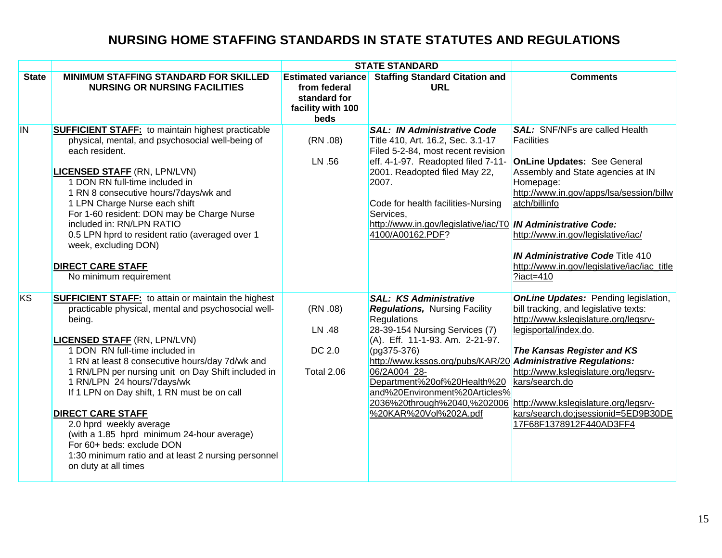|              |                                                                                                                                                                                                                                                                                                                                                                                                                                                                                                                                                                                                             |                                                                                        | <b>STATE STANDARD</b>                                                                                                                                                                                                                                                                                                                         |                                                                                                                                                                                                                                                                                                                                                                                               |
|--------------|-------------------------------------------------------------------------------------------------------------------------------------------------------------------------------------------------------------------------------------------------------------------------------------------------------------------------------------------------------------------------------------------------------------------------------------------------------------------------------------------------------------------------------------------------------------------------------------------------------------|----------------------------------------------------------------------------------------|-----------------------------------------------------------------------------------------------------------------------------------------------------------------------------------------------------------------------------------------------------------------------------------------------------------------------------------------------|-----------------------------------------------------------------------------------------------------------------------------------------------------------------------------------------------------------------------------------------------------------------------------------------------------------------------------------------------------------------------------------------------|
| <b>State</b> | <b>MINIMUM STAFFING STANDARD FOR SKILLED</b><br><b>NURSING OR NURSING FACILITIES</b>                                                                                                                                                                                                                                                                                                                                                                                                                                                                                                                        | <b>Estimated variance</b><br>from federal<br>standard for<br>facility with 100<br>beds | <b>Staffing Standard Citation and</b><br>URL                                                                                                                                                                                                                                                                                                  | <b>Comments</b>                                                                                                                                                                                                                                                                                                                                                                               |
| IN.          | <b>SUFFICIENT STAFF:</b> to maintain highest practicable<br>physical, mental, and psychosocial well-being of<br>each resident.<br><b>LICENSED STAFF (RN, LPN/LVN)</b><br>1 DON RN full-time included in<br>1 RN 8 consecutive hours/7days/wk and<br>1 LPN Charge Nurse each shift<br>For 1-60 resident: DON may be Charge Nurse<br>included in: RN/LPN RATIO<br>0.5 LPN hprd to resident ratio (averaged over 1<br>week, excluding DON)<br><b>DIRECT CARE STAFF</b><br>No minimum requirement                                                                                                               | (RN.08)<br>LN .56                                                                      | <b>SAL: IN Administrative Code</b><br>Title 410, Art. 16.2, Sec. 3.1-17<br>Filed 5-2-84, most recent revision<br>eff. 4-1-97. Readopted filed 7-11-<br>2001. Readopted filed May 22,<br>2007.<br>Code for health facilities-Nursing<br>Services,<br>http://www.in.gov/legislative/iac/T0 IN Administrative Code:<br>4100/A00162.PDF?          | <b>SAL:</b> SNF/NFs are called Health<br><b>Facilities</b><br><b>OnLine Updates: See General</b><br>Assembly and State agencies at IN<br>Homepage:<br>http://www.in.gov/apps/lsa/session/billw<br>atch/billinfo<br>http://www.in.gov/legislative/iac/<br><b>IN Administrative Code Title 410</b><br>http://www.in.gov/legislative/iac/iac_title<br>$?iact = 410$                              |
| <b>KS</b>    | <b>SUFFICIENT STAFF:</b> to attain or maintain the highest<br>practicable physical, mental and psychosocial well-<br>being.<br><b>LICENSED STAFF (RN, LPN/LVN)</b><br>1 DON RN full-time included in<br>1 RN at least 8 consecutive hours/day 7d/wk and<br>1 RN/LPN per nursing unit on Day Shift included in<br>1 RN/LPN 24 hours/7days/wk<br>If 1 LPN on Day shift, 1 RN must be on call<br><b>DIRECT CARE STAFF</b><br>2.0 hprd weekly average<br>(with a 1.85 hprd minimum 24-hour average)<br>For 60+ beds: exclude DON<br>1:30 minimum ratio and at least 2 nursing personnel<br>on duty at all times | (RN.08)<br>LN .48<br>DC 2.0<br><b>Total 2.06</b>                                       | <b>SAL: KS Administrative</b><br>Regulations, Nursing Facility<br>Regulations<br>28-39-154 Nursing Services (7)<br>(A). Eff. 11-1-93. Am. 2-21-97.<br>(pg375-376)<br>http://www.kssos.org/pubs/KAR/20<br>06/2A004 28-<br>Department%20of%20Health%20<br>and%20Environment%20Articles%<br>2036%20through%2040,%202006<br>%20KAR%20Vol%202A.pdf | <b>OnLine Updates: Pending legislation,</b><br>bill tracking, and legislative texts:<br>http://www.kslegislature.org/legsrv-<br>legisportal/index.do.<br>The Kansas Register and KS<br><b>Administrative Regulations:</b><br>http://www.kslegislature.org/legsrv-<br>kars/search.do<br>http://www.kslegislature.org/legsrv-<br>kars/search.do;jsessionid=5ED9B30DE<br>17F68F1378912F440AD3FF4 |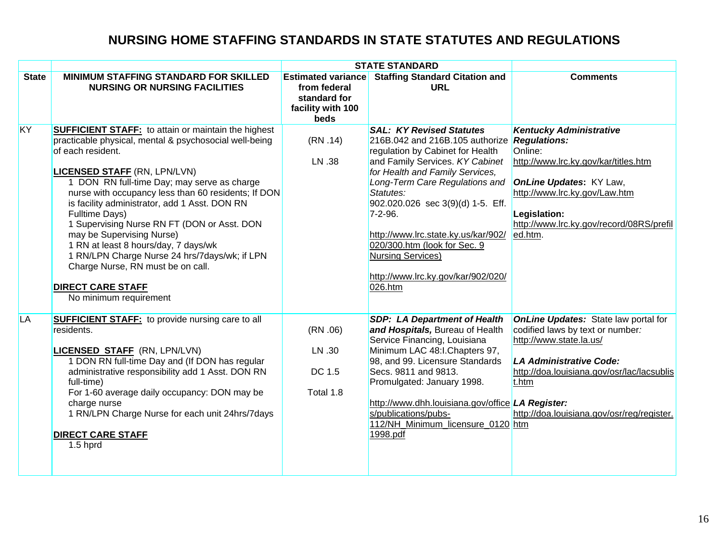|              |                                                                                                                                                                                                                                                                                                                                                                                                                                                                                                                                                                                                                         | <b>STATE STANDARD</b>                                                                  |                                                                                                                                                                                                                                                                                                                                                                                                                                             |                                                                                                                                                                                                                                                   |  |
|--------------|-------------------------------------------------------------------------------------------------------------------------------------------------------------------------------------------------------------------------------------------------------------------------------------------------------------------------------------------------------------------------------------------------------------------------------------------------------------------------------------------------------------------------------------------------------------------------------------------------------------------------|----------------------------------------------------------------------------------------|---------------------------------------------------------------------------------------------------------------------------------------------------------------------------------------------------------------------------------------------------------------------------------------------------------------------------------------------------------------------------------------------------------------------------------------------|---------------------------------------------------------------------------------------------------------------------------------------------------------------------------------------------------------------------------------------------------|--|
| <b>State</b> | <b>MINIMUM STAFFING STANDARD FOR SKILLED</b><br><b>NURSING OR NURSING FACILITIES</b>                                                                                                                                                                                                                                                                                                                                                                                                                                                                                                                                    | <b>Estimated variance</b><br>from federal<br>standard for<br>facility with 100<br>beds | <b>Staffing Standard Citation and</b><br><b>URL</b>                                                                                                                                                                                                                                                                                                                                                                                         | <b>Comments</b>                                                                                                                                                                                                                                   |  |
| KY           | <b>SUFFICIENT STAFF:</b> to attain or maintain the highest<br>practicable physical, mental & psychosocial well-being<br>of each resident.<br><b>LICENSED STAFF (RN, LPN/LVN)</b><br>DON RN full-time Day; may serve as charge<br>nurse with occupancy less than 60 residents; If DON<br>is facility administrator, add 1 Asst. DON RN<br>Fulltime Days)<br>1 Supervising Nurse RN FT (DON or Asst. DON<br>may be Supervising Nurse)<br>1 RN at least 8 hours/day, 7 days/wk<br>1 RN/LPN Charge Nurse 24 hrs/7days/wk; if LPN<br>Charge Nurse, RN must be on call.<br><b>DIRECT CARE STAFF</b><br>No minimum requirement | (RN.14)<br>LN .38                                                                      | <b>SAL: KY Revised Statutes</b><br>216B.042 and 216B.105 authorize Regulations:<br>regulation by Cabinet for Health<br>and Family Services. KY Cabinet<br>for Health and Family Services,<br>Long-Term Care Regulations and<br>Statutes:<br>902.020.026 sec 3(9)(d) 1-5. Eff.<br>$7 - 2 - 96.$<br>http://www.lrc.state.ky.us/kar/902/<br>020/300.htm (look for Sec. 9<br>Nursing Services)<br>http://www.lrc.ky.gov/kar/902/020/<br>026.htm | <b>Kentucky Administrative</b><br>Online:<br>http://www.lrc.ky.gov/kar/titles.htm<br><b>OnLine Updates: KY Law,</b><br>http://www.lrc.ky.gov/Law.htm<br>Legislation:<br>http://www.lrc.ky.gov/record/08RS/prefil<br>ed.htm.                       |  |
| LA           | <b>SUFFICIENT STAFF:</b> to provide nursing care to all<br>residents.<br><b>LICENSED STAFF (RN, LPN/LVN)</b><br>1 DON RN full-time Day and (If DON has regular<br>administrative responsibility add 1 Asst. DON RN<br>full-time)<br>For 1-60 average daily occupancy: DON may be<br>charge nurse<br>1 RN/LPN Charge Nurse for each unit 24hrs/7days<br><b>DIRECT CARE STAFF</b><br>$1.5$ hprd                                                                                                                                                                                                                           | (RN.06)<br>LN .30<br>DC 1.5<br>Total 1.8                                               | <b>SDP: LA Department of Health</b><br>and Hospitals, Bureau of Health<br>Service Financing, Louisiana<br>Minimum LAC 48:I.Chapters 97,<br>98, and 99. Licensure Standards<br>Secs. 9811 and 9813.<br>Promulgated: January 1998.<br>http://www.dhh.louisiana.gov/office LA Register:<br>s/publications/pubs-<br>112/NH_Minimum_licensure_0120 htm<br>1998.pdf                                                                               | <b>OnLine Updates:</b> State law portal for<br>codified laws by text or number:<br>http://www.state.la.us/<br><b>LA Administrative Code:</b><br>http://doa.louisiana.gov/osr/lac/lacsublis<br>t.htm<br>http://doa.louisiana.gov/osr/reg/register. |  |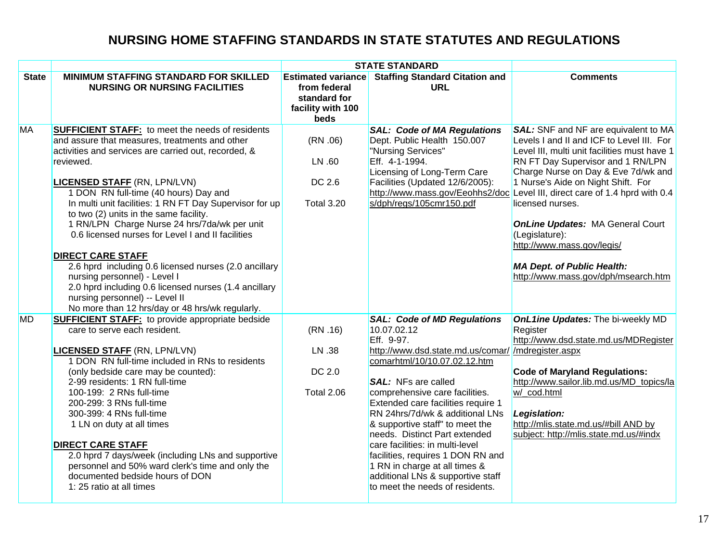|              |                                                                                                                                                                                                                                                                                                                                                                                                                                                                                                                                                                                                                                                                                                                                             |                                                                                        | <b>STATE STANDARD</b>                                                                                                                                                                                                                                                                                                                                                                                                                                                                                                                               |                                                                                                                                                                                                                                                                                                                                                                                                                                                                                                                                      |
|--------------|---------------------------------------------------------------------------------------------------------------------------------------------------------------------------------------------------------------------------------------------------------------------------------------------------------------------------------------------------------------------------------------------------------------------------------------------------------------------------------------------------------------------------------------------------------------------------------------------------------------------------------------------------------------------------------------------------------------------------------------------|----------------------------------------------------------------------------------------|-----------------------------------------------------------------------------------------------------------------------------------------------------------------------------------------------------------------------------------------------------------------------------------------------------------------------------------------------------------------------------------------------------------------------------------------------------------------------------------------------------------------------------------------------------|--------------------------------------------------------------------------------------------------------------------------------------------------------------------------------------------------------------------------------------------------------------------------------------------------------------------------------------------------------------------------------------------------------------------------------------------------------------------------------------------------------------------------------------|
| <b>State</b> | <b>MINIMUM STAFFING STANDARD FOR SKILLED</b><br><b>NURSING OR NURSING FACILITIES</b>                                                                                                                                                                                                                                                                                                                                                                                                                                                                                                                                                                                                                                                        | <b>Estimated variance</b><br>from federal<br>standard for<br>facility with 100<br>beds | <b>Staffing Standard Citation and</b><br><b>URL</b>                                                                                                                                                                                                                                                                                                                                                                                                                                                                                                 | <b>Comments</b>                                                                                                                                                                                                                                                                                                                                                                                                                                                                                                                      |
| <b>MA</b>    | <b>SUFFICIENT STAFF:</b> to meet the needs of residents<br>and assure that measures, treatments and other<br>activities and services are carried out, recorded, &<br>reviewed.<br><b>LICENSED STAFF (RN, LPN/LVN)</b><br>1 DON RN full-time (40 hours) Day and<br>In multi unit facilities: 1 RN FT Day Supervisor for up<br>to two (2) units in the same facility.<br>1 RN/LPN Charge Nurse 24 hrs/7da/wk per unit<br>0.6 licensed nurses for Level I and II facilities<br><b>DIRECT CARE STAFF</b><br>2.6 hprd including 0.6 licensed nurses (2.0 ancillary<br>nursing personnel) - Level I<br>2.0 hprd including 0.6 licensed nurses (1.4 ancillary<br>nursing personnel) -- Level II<br>No more than 12 hrs/day or 48 hrs/wk regularly. | (RN.06)<br>LN .60<br>DC 2.6<br><b>Total 3.20</b>                                       | <b>SAL: Code of MA Regulations</b><br>Dept. Public Health 150.007<br>"Nursing Services"<br>Eff. 4-1-1994.<br>Licensing of Long-Term Care<br>Facilities (Updated 12/6/2005):<br>s/dph/regs/105cmr150.pdf                                                                                                                                                                                                                                                                                                                                             | <b>SAL:</b> SNF and NF are equivalent to MA<br>Levels I and II and ICF to Level III. For<br>Level III, multi unit facilities must have 1<br>RN FT Day Supervisor and 1 RN/LPN<br>Charge Nurse on Day & Eve 7d/wk and<br>1 Nurse's Aide on Night Shift. For<br>http://www.mass.gov/Eeohhs2/doc Level III, direct care of 1.4 hprd with 0.4<br>licensed nurses.<br><b>OnLine Updates: MA General Court</b><br>(Legislature):<br>http://www.mass.gov/legis/<br><b>MA Dept. of Public Health:</b><br>http://www.mass.gov/dph/msearch.htm |
| MD           | <b>SUFFICIENT STAFF:</b> to provide appropriate bedside<br>care to serve each resident.<br><b>LICENSED STAFF (RN, LPN/LVN)</b><br>1 DON RN full-time included in RNs to residents<br>(only bedside care may be counted):<br>2-99 residents: 1 RN full-time<br>100-199: 2 RNs full-time<br>200-299: 3 RNs full-time<br>300-399: 4 RNs full-time<br>1 LN on duty at all times<br><b>DIRECT CARE STAFF</b><br>2.0 hprd 7 days/week (including LNs and supportive<br>personnel and 50% ward clerk's time and only the<br>documented bedside hours of DON<br>1:25 ratio at all times                                                                                                                                                             | (RN.16)<br>LN .38<br>DC 2.0<br><b>Total 2.06</b>                                       | <b>SAL: Code of MD Regulations</b><br>10.07.02.12<br>Eff. 9-97.<br>http://www.dsd.state.md.us/comar/ /mdregister.aspx<br>comarhtml/10/10.07.02.12.htm<br><b>SAL:</b> NFs are called<br>comprehensive care facilities.<br>Extended care facilities require 1<br>RN 24hrs/7d/wk & additional LNs<br>& supportive staff" to meet the<br>needs. Distinct Part extended<br>care facilities: in multi-level<br>facilities, requires 1 DON RN and<br>1 RN in charge at all times &<br>additional LNs & supportive staff<br>to meet the needs of residents. | OnL1ine Updates: The bi-weekly MD<br>Register<br>http://www.dsd.state.md.us/MDRegister<br><b>Code of Maryland Regulations:</b><br>http://www.sailor.lib.md.us/MD topics/la<br>w/ cod.html<br>Legislation:<br>http://mlis.state.md.us/#bill AND by<br>subject: http://mlis.state.md.us/#indx                                                                                                                                                                                                                                          |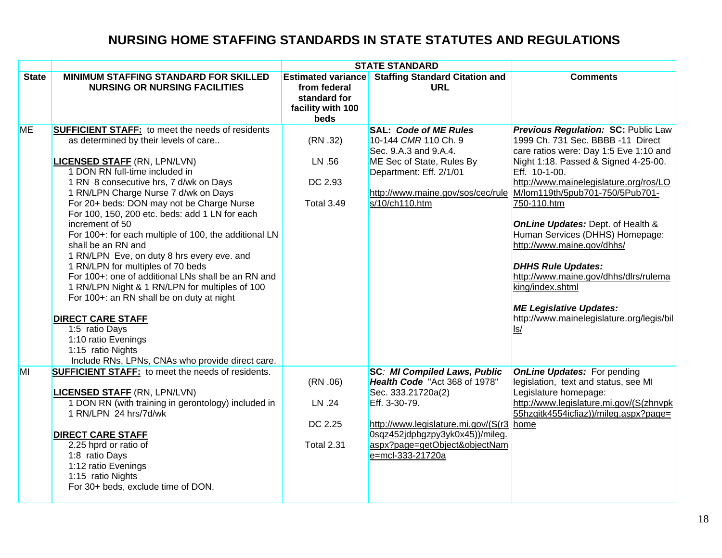|              |                                                                                                                                                                                                                                                                                                                                                                                                                                                                                                                                                                                                                                                                                                                                                                                                                                                    |                                                                                        | <b>STATE STANDARD</b>                                                                                                                                                                                                                           |                                                                                                                                                                                                                                                                                                                                                                                                                                                                                                                                                                                |
|--------------|----------------------------------------------------------------------------------------------------------------------------------------------------------------------------------------------------------------------------------------------------------------------------------------------------------------------------------------------------------------------------------------------------------------------------------------------------------------------------------------------------------------------------------------------------------------------------------------------------------------------------------------------------------------------------------------------------------------------------------------------------------------------------------------------------------------------------------------------------|----------------------------------------------------------------------------------------|-------------------------------------------------------------------------------------------------------------------------------------------------------------------------------------------------------------------------------------------------|--------------------------------------------------------------------------------------------------------------------------------------------------------------------------------------------------------------------------------------------------------------------------------------------------------------------------------------------------------------------------------------------------------------------------------------------------------------------------------------------------------------------------------------------------------------------------------|
| <b>State</b> | <b>MINIMUM STAFFING STANDARD FOR SKILLED</b><br><b>NURSING OR NURSING FACILITIES</b>                                                                                                                                                                                                                                                                                                                                                                                                                                                                                                                                                                                                                                                                                                                                                               | <b>Estimated variance</b><br>from federal<br>standard for<br>facility with 100<br>beds | <b>Staffing Standard Citation and</b><br><b>URL</b>                                                                                                                                                                                             | <b>Comments</b>                                                                                                                                                                                                                                                                                                                                                                                                                                                                                                                                                                |
| <b>ME</b>    | <b>SUFFICIENT STAFF:</b> to meet the needs of residents<br>as determined by their levels of care<br><b>LICENSED STAFF (RN, LPN/LVN)</b><br>1 DON RN full-time included in<br>1 RN 8 consecutive hrs, 7 d/wk on Days<br>1 RN/LPN Charge Nurse 7 d/wk on Days<br>For 20+ beds: DON may not be Charge Nurse<br>For 100, 150, 200 etc. beds: add 1 LN for each<br>increment of 50<br>For 100+: for each multiple of 100, the additional LN<br>shall be an RN and<br>1 RN/LPN Eve, on duty 8 hrs every eve. and<br>1 RN/LPN for multiples of 70 beds<br>For 100+: one of additional LNs shall be an RN and<br>1 RN/LPN Night & 1 RN/LPN for multiples of 100<br>For 100+: an RN shall be on duty at night<br><b>DIRECT CARE STAFF</b><br>1:5 ratio Days<br>1:10 ratio Evenings<br>1:15 ratio Nights<br>Include RNs, LPNs, CNAs who provide direct care. | (RN.32)<br>LN .56<br>DC 2.93<br><b>Total 3.49</b>                                      | <b>SAL: Code of ME Rules</b><br>10-144 CMR 110 Ch. 9<br>Sec. 9.A.3 and 9.A.4.<br>ME Sec of State, Rules By<br>Department: Eff. 2/1/01<br>http://www.maine.gov/sos/cec/rule<br>s/10/ch110.htm                                                    | <b>Previous Regulation: SC: Public Law</b><br>1999 Ch. 731 Sec. BBBB -11 Direct<br>care ratios were: Day 1:5 Eve 1:10 and<br>Night 1:18. Passed & Signed 4-25-00.<br>Eff. 10-1-00.<br>http://www.mainelegislature.org/ros/LO<br>M/lom119th/5pub701-750/5Pub701-<br>750-110.htm<br><b>OnLine Updates: Dept. of Health &amp;</b><br>Human Services (DHHS) Homepage:<br>http://www.maine.gov/dhhs/<br><b>DHHS Rule Updates:</b><br>http://www.maine.gov/dhhs/dlrs/rulema<br>king/index.shtml<br><b>ME Legislative Updates:</b><br>http://www.mainelegislature.org/legis/bil<br> s |
| MI           | <b>SUFFICIENT STAFF:</b> to meet the needs of residents.<br><b>LICENSED STAFF (RN, LPN/LVN)</b><br>1 DON RN (with training in gerontology) included in<br>1 RN/LPN 24 hrs/7d/wk<br><b>DIRECT CARE STAFF</b><br>2.25 hprd or ratio of<br>1:8 ratio Days<br>1:12 ratio Evenings<br>1:15 ratio Nights<br>For 30+ beds, exclude time of DON.                                                                                                                                                                                                                                                                                                                                                                                                                                                                                                           | (RN.06)<br>LN .24<br>DC 2.25<br><b>Total 2.31</b>                                      | <b>SC: MI Compiled Laws, Public</b><br>Health Code "Act 368 of 1978"<br>Sec. 333.21720a(2)<br>Eff. 3-30-79.<br>http://www.legislature.mi.gov/(S(r3 home<br>0sqz452jdpbgzpy3yk0x45))/mileg.<br>aspx?page=getObject&objectNam<br>e=mcl-333-21720a | <b>OnLine Updates:</b> For pending<br>legislation, text and status, see MI<br>Legislature homepage:<br>http://www.legislature.mi.gov/(S(zhnvpk<br>55hzqitk4554icfiaz))/mileg.aspx?page=                                                                                                                                                                                                                                                                                                                                                                                        |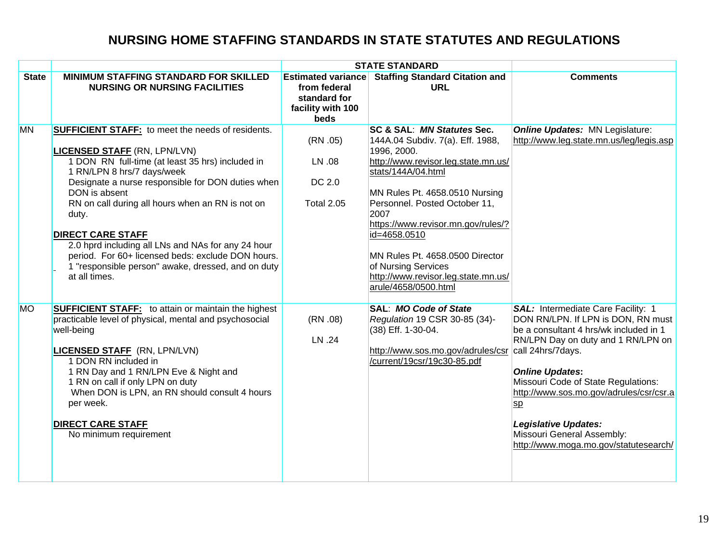|              |                                                                                                                                                                                                                                                                                                                                                                                                                                                                                                                                    |                                                                                        | <b>STATE STANDARD</b>                                                                                                                                                                                                                                                                                                                                                                                |                                                                                                                                                                                                                                                                                                                                                                                       |
|--------------|------------------------------------------------------------------------------------------------------------------------------------------------------------------------------------------------------------------------------------------------------------------------------------------------------------------------------------------------------------------------------------------------------------------------------------------------------------------------------------------------------------------------------------|----------------------------------------------------------------------------------------|------------------------------------------------------------------------------------------------------------------------------------------------------------------------------------------------------------------------------------------------------------------------------------------------------------------------------------------------------------------------------------------------------|---------------------------------------------------------------------------------------------------------------------------------------------------------------------------------------------------------------------------------------------------------------------------------------------------------------------------------------------------------------------------------------|
| <b>State</b> | <b>MINIMUM STAFFING STANDARD FOR SKILLED</b><br><b>NURSING OR NURSING FACILITIES</b>                                                                                                                                                                                                                                                                                                                                                                                                                                               | <b>Estimated variance</b><br>from federal<br>standard for<br>facility with 100<br>beds | <b>Staffing Standard Citation and</b><br><b>URL</b>                                                                                                                                                                                                                                                                                                                                                  | <b>Comments</b>                                                                                                                                                                                                                                                                                                                                                                       |
| <b>MN</b>    | <b>SUFFICIENT STAFF:</b> to meet the needs of residents.<br><b>LICENSED STAFF (RN, LPN/LVN)</b><br>1 DON RN full-time (at least 35 hrs) included in<br>1 RN/LPN 8 hrs/7 days/week<br>Designate a nurse responsible for DON duties when<br>DON is absent<br>RN on call during all hours when an RN is not on<br>duty.<br><b>DIRECT CARE STAFF</b><br>2.0 hprd including all LNs and NAs for any 24 hour<br>period. For 60+ licensed beds: exclude DON hours.<br>1 "responsible person" awake, dressed, and on duty<br>at all times. | (RN.05)<br>LN .08<br>DC 2.0<br><b>Total 2.05</b>                                       | SC & SAL: MN Statutes Sec.<br>144A.04 Subdiv. 7(a). Eff. 1988,<br>1996, 2000.<br>http://www.revisor.leg.state.mn.us/<br>stats/144A/04.html<br>MN Rules Pt. 4658.0510 Nursing<br>Personnel. Posted October 11,<br>2007<br>https://www.revisor.mn.gov/rules/?<br>id=4658.0510<br>MN Rules Pt. 4658.0500 Director<br>of Nursing Services<br>http://www.revisor.leg.state.mn.us/<br>arule/4658/0500.html | <b>Online Updates: MN Legislature:</b><br>http://www.leg.state.mn.us/leg/legis.asp                                                                                                                                                                                                                                                                                                    |
| <b>MO</b>    | <b>SUFFICIENT STAFF:</b> to attain or maintain the highest<br>practicable level of physical, mental and psychosocial<br>well-being<br><b>LICENSED STAFF (RN, LPN/LVN)</b><br>1 DON RN included in<br>1 RN Day and 1 RN/LPN Eve & Night and<br>1 RN on call if only LPN on duty<br>When DON is LPN, an RN should consult 4 hours<br>per week.<br><b>DIRECT CARE STAFF</b><br>No minimum requirement                                                                                                                                 | (RN.08)<br>LN .24                                                                      | SAL: MO Code of State<br>Regulation 19 CSR 30-85 (34)-<br>(38) Eff. 1-30-04.<br>http://www.sos.mo.gov/adrules/csr call 24hrs/7days.<br>/current/19csr/19c30-85.pdf                                                                                                                                                                                                                                   | SAL: Intermediate Care Facility: 1<br>DON RN/LPN. If LPN is DON, RN must<br>be a consultant 4 hrs/wk included in 1<br>RN/LPN Day on duty and 1 RN/LPN on<br><b>Online Updates:</b><br>Missouri Code of State Regulations:<br>http://www.sos.mo.gov/adrules/csr/csr.a<br>$_{sp}$<br><b>Legislative Updates:</b><br>Missouri General Assembly:<br>http://www.moga.mo.gov/statutesearch/ |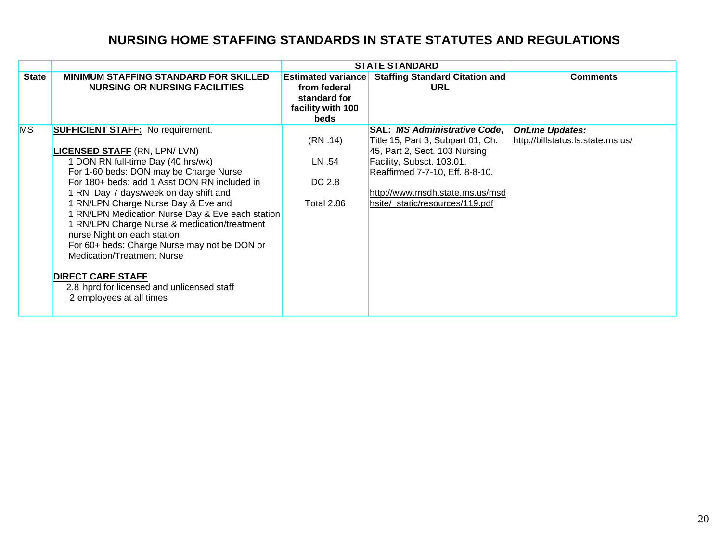| <b>State</b> | <b>MINIMUM STAFFING STANDARD FOR SKILLED</b><br><b>NURSING OR NURSING FACILITIES</b>                                                                                                                                                                                                                                                                                                                                                                                                                                                                                                                                           | <b>Estimated variance</b><br>from federal<br>standard for<br>facility with 100<br><b>beds</b> | <b>Staffing Standard Citation and</b><br><b>URL</b>                                                                                                                                                                                             | <b>Comments</b>                                             |
|--------------|--------------------------------------------------------------------------------------------------------------------------------------------------------------------------------------------------------------------------------------------------------------------------------------------------------------------------------------------------------------------------------------------------------------------------------------------------------------------------------------------------------------------------------------------------------------------------------------------------------------------------------|-----------------------------------------------------------------------------------------------|-------------------------------------------------------------------------------------------------------------------------------------------------------------------------------------------------------------------------------------------------|-------------------------------------------------------------|
| <b>MS</b>    | <b>SUFFICIENT STAFF:</b> No requirement.<br><b>LICENSED STAFF (RN, LPN/ LVN)</b><br>1 DON RN full-time Day (40 hrs/wk)<br>For 1-60 beds: DON may be Charge Nurse<br>For 180+ beds: add 1 Asst DON RN included in<br>1 RN Day 7 days/week on day shift and<br>1 RN/LPN Charge Nurse Day & Eve and<br>1 RN/LPN Medication Nurse Day & Eve each station<br>1 RN/LPN Charge Nurse & medication/treatment<br>nurse Night on each station<br>For 60+ beds: Charge Nurse may not be DON or<br><b>Medication/Treatment Nurse</b><br><b>DIRECT CARE STAFF</b><br>2.8 hprd for licensed and unlicensed staff<br>2 employees at all times | (RN.14)<br>LN .54<br>DC 2.8<br><b>Total 2.86</b>                                              | <b>SAL: MS Administrative Code,</b><br>Title 15, Part 3, Subpart 01, Ch.<br>45, Part 2, Sect. 103 Nursing<br>Facility, Subsct. 103.01.<br>Reaffirmed 7-7-10, Eff. 8-8-10.<br>http://www.msdh.state.ms.us/msd<br>hsite/_static/resources/119.pdf | <b>OnLine Updates:</b><br>http://billstatus.ls.state.ms.us/ |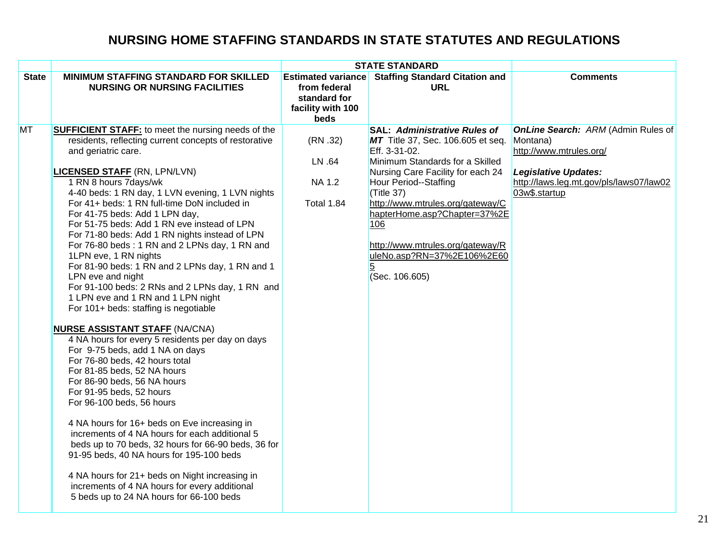|              |                                                                                                                                                                                                                                                                                                                                                                                                                                                                                                                                                                                                                                                                                                                                                                                                                                                                                                                                                                                                                                                                                                                                                                                                                                                                                                                                                                                   | <b>STATE STANDARD</b>                                                                  |                                                                                                                                                                                                                                                                                                                                                                              |                                                                                                                                                                             |
|--------------|-----------------------------------------------------------------------------------------------------------------------------------------------------------------------------------------------------------------------------------------------------------------------------------------------------------------------------------------------------------------------------------------------------------------------------------------------------------------------------------------------------------------------------------------------------------------------------------------------------------------------------------------------------------------------------------------------------------------------------------------------------------------------------------------------------------------------------------------------------------------------------------------------------------------------------------------------------------------------------------------------------------------------------------------------------------------------------------------------------------------------------------------------------------------------------------------------------------------------------------------------------------------------------------------------------------------------------------------------------------------------------------|----------------------------------------------------------------------------------------|------------------------------------------------------------------------------------------------------------------------------------------------------------------------------------------------------------------------------------------------------------------------------------------------------------------------------------------------------------------------------|-----------------------------------------------------------------------------------------------------------------------------------------------------------------------------|
| <b>State</b> | <b>MINIMUM STAFFING STANDARD FOR SKILLED</b><br><b>NURSING OR NURSING FACILITIES</b>                                                                                                                                                                                                                                                                                                                                                                                                                                                                                                                                                                                                                                                                                                                                                                                                                                                                                                                                                                                                                                                                                                                                                                                                                                                                                              | <b>Estimated variance</b><br>from federal<br>standard for<br>facility with 100<br>beds | <b>Staffing Standard Citation and</b><br><b>URL</b>                                                                                                                                                                                                                                                                                                                          | <b>Comments</b>                                                                                                                                                             |
| MT           | <b>SUFFICIENT STAFF:</b> to meet the nursing needs of the<br>residents, reflecting current concepts of restorative<br>and geriatric care.<br><b>LICENSED STAFF (RN, LPN/LVN)</b><br>1 RN 8 hours 7days/wk<br>4-40 beds: 1 RN day, 1 LVN evening, 1 LVN nights<br>For 41+ beds: 1 RN full-time DoN included in<br>For 41-75 beds: Add 1 LPN day,<br>For 51-75 beds: Add 1 RN eve instead of LPN<br>For 71-80 beds: Add 1 RN nights instead of LPN<br>For 76-80 beds: 1 RN and 2 LPNs day, 1 RN and<br>1LPN eve, 1 RN nights<br>For 81-90 beds: 1 RN and 2 LPNs day, 1 RN and 1<br>LPN eve and night<br>For 91-100 beds: 2 RNs and 2 LPNs day, 1 RN and<br>1 LPN eve and 1 RN and 1 LPN night<br>For 101+ beds: staffing is negotiable<br><b>NURSE ASSISTANT STAFF (NA/CNA)</b><br>4 NA hours for every 5 residents per day on days<br>For 9-75 beds, add 1 NA on days<br>For 76-80 beds, 42 hours total<br>For 81-85 beds, 52 NA hours<br>For 86-90 beds, 56 NA hours<br>For 91-95 beds, 52 hours<br>For 96-100 beds, 56 hours<br>4 NA hours for 16+ beds on Eve increasing in<br>increments of 4 NA hours for each additional 5<br>beds up to 70 beds, 32 hours for 66-90 beds, 36 for<br>91-95 beds, 40 NA hours for 195-100 beds<br>4 NA hours for 21+ beds on Night increasing in<br>increments of 4 NA hours for every additional<br>5 beds up to 24 NA hours for 66-100 beds | (RN.32)<br>LN .64<br><b>NA 1.2</b><br><b>Total 1.84</b>                                | <b>SAL: Administrative Rules of</b><br>MT Title 37, Sec. 106.605 et seq.<br>Eff. 3-31-02.<br>Minimum Standards for a Skilled<br>Nursing Care Facility for each 24<br>Hour Period--Staffing<br>(Title 37)<br>http://www.mtrules.org/gateway/C<br>hapterHome.asp?Chapter=37%2E<br>106<br>http://www.mtrules.org/gateway/R<br>uleNo.asp?RN=37%2E106%2E60<br>5<br>(Sec. 106.605) | <b>OnLine Search: ARM (Admin Rules of</b><br>Montana)<br>http://www.mtrules.org/<br><b>Legislative Updates:</b><br>http://laws.leg.mt.gov/pls/laws07/law02<br>03w\$.startup |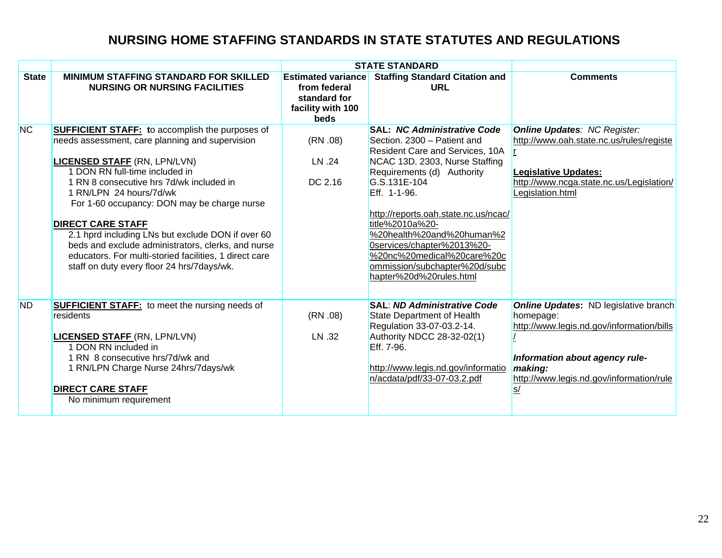|              |                                                                                                                                                                                                                                                                                                                                                                                                                                                                                                                                                         |                                                                                        | <b>STATE STANDARD</b>                                                                                                                                                                                                                                                                                                                                                                            |                                                                                                                                                                                                                  |
|--------------|---------------------------------------------------------------------------------------------------------------------------------------------------------------------------------------------------------------------------------------------------------------------------------------------------------------------------------------------------------------------------------------------------------------------------------------------------------------------------------------------------------------------------------------------------------|----------------------------------------------------------------------------------------|--------------------------------------------------------------------------------------------------------------------------------------------------------------------------------------------------------------------------------------------------------------------------------------------------------------------------------------------------------------------------------------------------|------------------------------------------------------------------------------------------------------------------------------------------------------------------------------------------------------------------|
| <b>State</b> | <b>MINIMUM STAFFING STANDARD FOR SKILLED</b><br><b>NURSING OR NURSING FACILITIES</b>                                                                                                                                                                                                                                                                                                                                                                                                                                                                    | <b>Estimated variance</b><br>from federal<br>standard for<br>facility with 100<br>beds | <b>Staffing Standard Citation and</b><br>URL                                                                                                                                                                                                                                                                                                                                                     | <b>Comments</b>                                                                                                                                                                                                  |
| <b>NC</b>    | <b>SUFFICIENT STAFF:</b> to accomplish the purposes of<br>needs assessment, care planning and supervision<br><b>LICENSED STAFF (RN, LPN/LVN)</b><br>1 DON RN full-time included in<br>1 RN 8 consecutive hrs 7d/wk included in<br>1 RN/LPN 24 hours/7d/wk<br>For 1-60 occupancy: DON may be charge nurse<br><b>DIRECT CARE STAFF</b><br>2.1 hprd including LNs but exclude DON if over 60<br>beds and exclude administrators, clerks, and nurse<br>educators. For multi-storied facilities, 1 direct care<br>staff on duty every floor 24 hrs/7days/wk. | (RN.08)<br>LN .24<br>DC 2.16                                                           | <b>SAL: NC Administrative Code</b><br>Section. 2300 - Patient and<br><b>Resident Care and Services, 10A</b><br>NCAC 13D. 2303, Nurse Staffing<br>Requirements (d) Authority<br>G.S.131E-104<br>Eff. 1-1-96.<br>http://reports.oah.state.nc.us/ncac/<br>title%2010a%20-<br>%20health%20and%20human%2<br>0services/chapter%2013%20-<br>%20nc%20medical%20care%20c<br>ommission/subchapter%20d/subc | <b>Online Updates: NC Register:</b><br>http://www.oah.state.nc.us/rules/registe<br><b>Legislative Updates:</b><br>http://www.ncga.state.nc.us/Legislation/<br>Legislation.html                                   |
| <b>ND</b>    | <b>SUFFICIENT STAFF:</b> to meet the nursing needs of<br>residents<br><b>LICENSED STAFF (RN, LPN/LVN)</b><br>1 DON RN included in<br>1 RN 8 consecutive hrs/7d/wk and<br>1 RN/LPN Charge Nurse 24hrs/7days/wk<br><b>DIRECT CARE STAFF</b><br>No minimum requirement                                                                                                                                                                                                                                                                                     | (RN.08)<br>LN .32                                                                      | hapter%20d%20rules.html<br><b>SAL: ND Administrative Code</b><br>State Department of Health<br>Regulation 33-07-03.2-14.<br>Authority NDCC 28-32-02(1)<br>Eff. 7-96.<br>http://www.legis.nd.gov/informatio<br>n/acdata/pdf/33-07-03.2.pdf                                                                                                                                                        | <b>Online Updates:</b> ND legislative branch<br>homepage:<br>http://www.legis.nd.gov/information/bills<br>Information about agency rule-<br>making:<br>http://www.legis.nd.gov/information/rule<br>$\frac{s}{2}$ |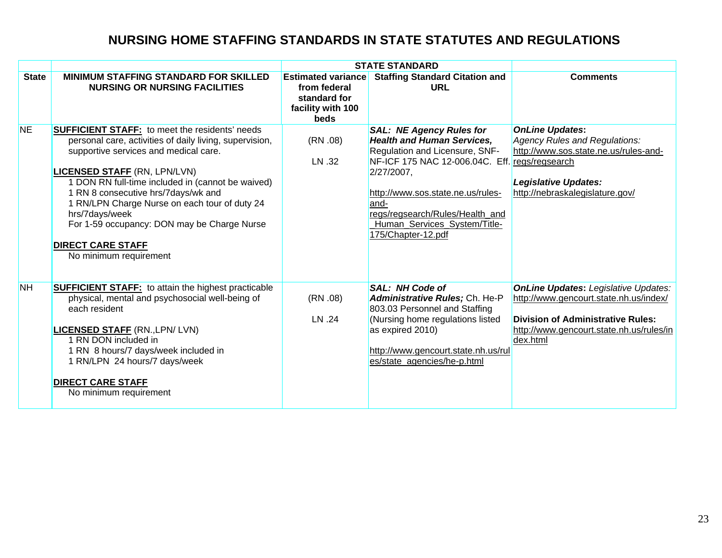|              |                                                                                                                                                                                                                                                                                                                                                                                                                                                                      |                                                                                        | <b>STATE STANDARD</b>                                                                                                                                                                                                                                                                            |                                                                                                                                                                                           |
|--------------|----------------------------------------------------------------------------------------------------------------------------------------------------------------------------------------------------------------------------------------------------------------------------------------------------------------------------------------------------------------------------------------------------------------------------------------------------------------------|----------------------------------------------------------------------------------------|--------------------------------------------------------------------------------------------------------------------------------------------------------------------------------------------------------------------------------------------------------------------------------------------------|-------------------------------------------------------------------------------------------------------------------------------------------------------------------------------------------|
| <b>State</b> | <b>MINIMUM STAFFING STANDARD FOR SKILLED</b><br><b>NURSING OR NURSING FACILITIES</b>                                                                                                                                                                                                                                                                                                                                                                                 | <b>Estimated variance</b><br>from federal<br>standard for<br>facility with 100<br>beds | <b>Staffing Standard Citation and</b><br><b>URL</b>                                                                                                                                                                                                                                              | <b>Comments</b>                                                                                                                                                                           |
| <b>NE</b>    | <b>SUFFICIENT STAFF:</b> to meet the residents' needs<br>personal care, activities of daily living, supervision,<br>supportive services and medical care.<br><b>LICENSED STAFF (RN, LPN/LVN)</b><br>1 DON RN full-time included in (cannot be waived)<br>1 RN 8 consecutive hrs/7days/wk and<br>1 RN/LPN Charge Nurse on each tour of duty 24<br>hrs/7days/week<br>For 1-59 occupancy: DON may be Charge Nurse<br><b>DIRECT CARE STAFF</b><br>No minimum requirement | (RN.08)<br>LN .32                                                                      | <b>SAL: NE Agency Rules for</b><br><b>Health and Human Services,</b><br>Regulation and Licensure, SNF-<br>NF-ICF 175 NAC 12-006.04C. Eff.<br>$2/27/2007$ ,<br>http://www.sos.state.ne.us/rules-<br>and-<br>regs/regsearch/Rules/Health and<br>Human_Services_System/Title-<br>175/Chapter-12.pdf | <b>OnLine Updates:</b><br>Agency Rules and Regulations:<br>http://www.sos.state.ne.us/rules-and-<br>regs/regsearch<br><b>Legislative Updates:</b><br>http://nebraskalegislature.gov/      |
| <b>NH</b>    | <b>SUFFICIENT STAFF:</b> to attain the highest practicable<br>physical, mental and psychosocial well-being of<br>each resident<br><b>LICENSED STAFF (RN., LPN/LVN)</b><br>1 RN DON included in<br>1 RN 8 hours/7 days/week included in<br>1 RN/LPN 24 hours/7 days/week<br><b>DIRECT CARE STAFF</b><br>No minimum requirement                                                                                                                                        | (RN.08)<br>LN .24                                                                      | <b>SAL: NH Code of</b><br>Administrative Rules; Ch. He-P<br>803.03 Personnel and Staffing<br>(Nursing home regulations listed<br>as expired 2010)<br>http://www.gencourt.state.nh.us/rul<br>es/state_agencies/he-p.html                                                                          | <b>OnLine Updates: Legislative Updates:</b><br>http://www.gencourt.state.nh.us/index/<br><b>Division of Administrative Rules:</b><br>http://www.gencourt.state.nh.us/rules/in<br>dex.html |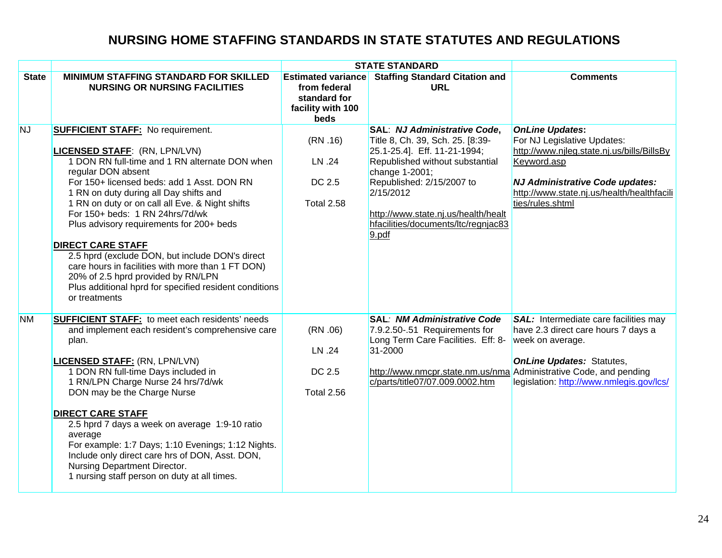|              |                                                                                                                                                                                                                                                                                                                                                                                                                                                                                                                                                                                                                                         | <b>STATE STANDARD</b>                                                                  |                                                                                                                                                                                                                                                                                           |                                                                                                                                                                                                                         |
|--------------|-----------------------------------------------------------------------------------------------------------------------------------------------------------------------------------------------------------------------------------------------------------------------------------------------------------------------------------------------------------------------------------------------------------------------------------------------------------------------------------------------------------------------------------------------------------------------------------------------------------------------------------------|----------------------------------------------------------------------------------------|-------------------------------------------------------------------------------------------------------------------------------------------------------------------------------------------------------------------------------------------------------------------------------------------|-------------------------------------------------------------------------------------------------------------------------------------------------------------------------------------------------------------------------|
| <b>State</b> | <b>MINIMUM STAFFING STANDARD FOR SKILLED</b><br><b>NURSING OR NURSING FACILITIES</b>                                                                                                                                                                                                                                                                                                                                                                                                                                                                                                                                                    | <b>Estimated variance</b><br>from federal<br>standard for<br>facility with 100<br>beds | <b>Staffing Standard Citation and</b><br>URL                                                                                                                                                                                                                                              | <b>Comments</b>                                                                                                                                                                                                         |
| <b>NJ</b>    | <b>SUFFICIENT STAFF: No requirement.</b><br><b>LICENSED STAFF: (RN, LPN/LVN)</b><br>1 DON RN full-time and 1 RN alternate DON when<br>regular DON absent<br>For 150+ licensed beds: add 1 Asst. DON RN<br>1 RN on duty during all Day shifts and<br>1 RN on duty or on call all Eve. & Night shifts<br>For 150+ beds: 1 RN 24hrs/7d/wk<br>Plus advisory requirements for 200+ beds<br><b>DIRECT CARE STAFF</b><br>2.5 hprd (exclude DON, but include DON's direct<br>care hours in facilities with more than 1 FT DON)<br>20% of 2.5 hprd provided by RN/LPN<br>Plus additional hprd for specified resident conditions<br>or treatments | (RN.16)<br>LN .24<br>DC 2.5<br>Total 2.58                                              | SAL: NJ Administrative Code,<br>Title 8, Ch. 39, Sch. 25. [8:39-<br>25.1-25.4]. Eff. 11-21-1994;<br>Republished without substantial<br>change 1-2001;<br>Republished: 2/15/2007 to<br>2/15/2012<br>http://www.state.nj.us/health/healt<br>hfacilities/documents/ltc/regnjac83<br>$9.$ pdf | <b>OnLine Updates:</b><br>For NJ Legislative Updates:<br>http://www.njleg.state.nj.us/bills/BillsBy<br>Keyword.asp<br>NJ Administrative Code updates:<br>http://www.state.nj.us/health/healthfacili<br>ties/rules.shtml |
| <b>NM</b>    | <b>SUFFICIENT STAFF:</b> to meet each residents' needs<br>and implement each resident's comprehensive care<br>plan.<br><b>LICENSED STAFF: (RN, LPN/LVN)</b><br>1 DON RN full-time Days included in<br>1 RN/LPN Charge Nurse 24 hrs/7d/wk<br>DON may be the Charge Nurse<br><b>DIRECT CARE STAFF</b><br>2.5 hprd 7 days a week on average 1:9-10 ratio<br>average<br>For example: 1:7 Days; 1:10 Evenings; 1:12 Nights.<br>Include only direct care hrs of DON, Asst. DON,<br>Nursing Department Director.<br>1 nursing staff person on duty at all times.                                                                               | (RN.06)<br>LN .24<br>DC 2.5<br>Total 2.56                                              | <b>SAL: NM Administrative Code</b><br>7.9.2.50-.51 Requirements for<br>Long Term Care Facilities. Eff: 8-<br>31-2000<br>http://www.nmcpr.state.nm.us/nma Administrative Code, and pending<br>c/parts/title07/07.009.0002.htm                                                              | SAL: Intermediate care facilities may<br>have 2.3 direct care hours 7 days a<br>week on average.<br><b>OnLine Updates: Statutes,</b><br>legislation: http://www.nmlegis.gov/lcs/                                        |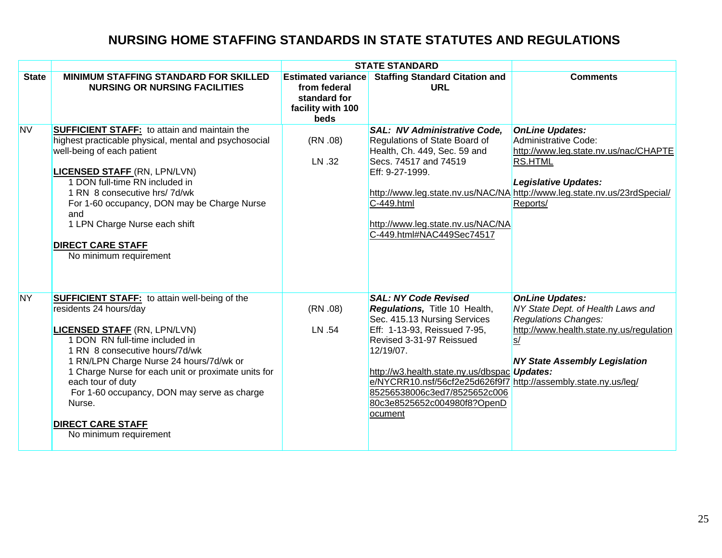|              |                                                                                                                                                                                                                                                                                                                                                                                                                                 | <b>STATE STANDARD</b>                                                                  |                                                                                                                                                                                                                                                                                                                                                                           |                                                                                                                                                                                                                                   |
|--------------|---------------------------------------------------------------------------------------------------------------------------------------------------------------------------------------------------------------------------------------------------------------------------------------------------------------------------------------------------------------------------------------------------------------------------------|----------------------------------------------------------------------------------------|---------------------------------------------------------------------------------------------------------------------------------------------------------------------------------------------------------------------------------------------------------------------------------------------------------------------------------------------------------------------------|-----------------------------------------------------------------------------------------------------------------------------------------------------------------------------------------------------------------------------------|
| <b>State</b> | <b>MINIMUM STAFFING STANDARD FOR SKILLED</b><br><b>NURSING OR NURSING FACILITIES</b>                                                                                                                                                                                                                                                                                                                                            | <b>Estimated variance</b><br>from federal<br>standard for<br>facility with 100<br>beds | <b>Staffing Standard Citation and</b><br><b>URL</b>                                                                                                                                                                                                                                                                                                                       | <b>Comments</b>                                                                                                                                                                                                                   |
| <b>NV</b>    | <b>SUFFICIENT STAFF:</b> to attain and maintain the<br>highest practicable physical, mental and psychosocial<br>well-being of each patient<br><b>LICENSED STAFF (RN, LPN/LVN)</b><br>1 DON full-time RN included in<br>1 RN 8 consecutive hrs/ 7d/wk<br>For 1-60 occupancy, DON may be Charge Nurse<br>and<br>1 LPN Charge Nurse each shift<br><b>DIRECT CARE STAFF</b><br>No minimum requirement                               | (RN.08)<br>LN .32                                                                      | <b>SAL: NV Administrative Code,</b><br>Regulations of State Board of<br>Health, Ch. 449, Sec. 59 and<br>Secs. 74517 and 74519<br>Eff: 9-27-1999.<br>$C-449.html$<br>http://www.leg.state.nv.us/NAC/NA<br>C-449.html#NAC449Sec74517                                                                                                                                        | <b>OnLine Updates:</b><br>Administrative Code:<br>http://www.leg.state.nv.us/nac/CHAPTE<br><b>RS.HTML</b><br><b>Legislative Updates:</b><br>http://www.leg.state.nv.us/NAC/NA http://www.leg.state.nv.us/23rdSpecial/<br>Reports/ |
| <b>NY</b>    | <b>SUFFICIENT STAFF:</b> to attain well-being of the<br>residents 24 hours/day<br><b>LICENSED STAFF (RN, LPN/LVN)</b><br>1 DON RN full-time included in<br>1 RN 8 consecutive hours/7d/wk<br>1 RN/LPN Charge Nurse 24 hours/7d/wk or<br>1 Charge Nurse for each unit or proximate units for<br>each tour of duty<br>For 1-60 occupancy, DON may serve as charge<br>Nurse.<br><b>DIRECT CARE STAFF</b><br>No minimum requirement | (RN.08)<br>LN .54                                                                      | <b>SAL: NY Code Revised</b><br><b>Regulations, Title 10 Health,</b><br>Sec. 415.13 Nursing Services<br>Eff: 1-13-93, Reissued 7-95,<br>Revised 3-31-97 Reissued<br>12/19/07.<br>http://w3.health.state.ny.us/dbspac Updates:<br>e/NYCRR10.nsf/56cf2e25d626f9f7 http://assembly.state.ny.us/leg/<br>85256538006c3ed7/8525652c006<br>80c3e8525652c004980f8?OpenD<br>ocument | <b>OnLine Updates:</b><br>NY State Dept. of Health Laws and<br><b>Regulations Changes:</b><br>http://www.health.state.ny.us/regulation<br>S/<br><b>NY State Assembly Legislation</b>                                              |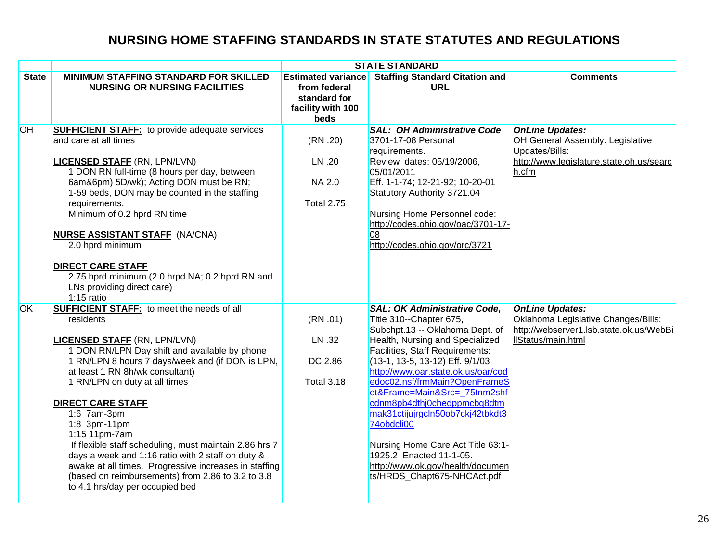|              |                                                                                                                                                                                                                                                                                                                                                                                                                                                                                                                                                                                                                            |                                                                                        | <b>STATE STANDARD</b>                                                                                                                                                                                                                                                                                                                                                                                                                                                                                                                        |                                                                                                                                   |
|--------------|----------------------------------------------------------------------------------------------------------------------------------------------------------------------------------------------------------------------------------------------------------------------------------------------------------------------------------------------------------------------------------------------------------------------------------------------------------------------------------------------------------------------------------------------------------------------------------------------------------------------------|----------------------------------------------------------------------------------------|----------------------------------------------------------------------------------------------------------------------------------------------------------------------------------------------------------------------------------------------------------------------------------------------------------------------------------------------------------------------------------------------------------------------------------------------------------------------------------------------------------------------------------------------|-----------------------------------------------------------------------------------------------------------------------------------|
| <b>State</b> | <b>MINIMUM STAFFING STANDARD FOR SKILLED</b><br><b>NURSING OR NURSING FACILITIES</b>                                                                                                                                                                                                                                                                                                                                                                                                                                                                                                                                       | <b>Estimated variance</b><br>from federal<br>standard for<br>facility with 100<br>beds | <b>Staffing Standard Citation and</b><br><b>URL</b>                                                                                                                                                                                                                                                                                                                                                                                                                                                                                          | <b>Comments</b>                                                                                                                   |
| OH           | <b>SUFFICIENT STAFF:</b> to provide adequate services<br>and care at all times<br><b>LICENSED STAFF (RN, LPN/LVN)</b><br>1 DON RN full-time (8 hours per day, between<br>6am&6pm) 5D/wk); Acting DON must be RN;<br>1-59 beds, DON may be counted in the staffing<br>requirements.<br>Minimum of 0.2 hprd RN time<br><b>NURSE ASSISTANT STAFF (NA/CNA)</b><br>2.0 hprd minimum<br><b>DIRECT CARE STAFF</b><br>2.75 hprd minimum (2.0 hrpd NA; 0.2 hprd RN and<br>LNs providing direct care)<br>$1:15$ ratio                                                                                                                | (RN.20)<br>LN .20<br><b>NA 2.0</b><br><b>Total 2.75</b>                                | <b>SAL: OH Administrative Code</b><br>3701-17-08 Personal<br>requirements.<br>Review dates: 05/19/2006,<br>05/01/2011<br>Eff. 1-1-74; 12-21-92; 10-20-01<br>Statutory Authority 3721.04<br>Nursing Home Personnel code:<br>http://codes.ohio.gov/oac/3701-17-<br>08<br>http://codes.ohio.gov/orc/3721                                                                                                                                                                                                                                        | <b>OnLine Updates:</b><br>OH General Assembly: Legislative<br>Updates/Bills:<br>http://www.legislature.state.oh.us/searc<br>h.cfm |
| <b>OK</b>    | <b>SUFFICIENT STAFF:</b> to meet the needs of all<br>residents<br><b>LICENSED STAFF (RN, LPN/LVN)</b><br>1 DON RN/LPN Day shift and available by phone<br>1 RN/LPN 8 hours 7 days/week and (if DON is LPN,<br>at least 1 RN 8h/wk consultant)<br>1 RN/LPN on duty at all times<br><b>DIRECT CARE STAFF</b><br>1:6 7am-3pm<br>1:8 3pm-11pm<br>1:15 11pm-7am<br>If flexible staff scheduling, must maintain 2.86 hrs 7<br>days a week and 1:16 ratio with 2 staff on duty &<br>awake at all times. Progressive increases in staffing<br>(based on reimbursements) from 2.86 to 3.2 to 3.8<br>to 4.1 hrs/day per occupied bed | (RN.01)<br>LN .32<br>DC 2.86<br><b>Total 3.18</b>                                      | <b>SAL: OK Administrative Code,</b><br>Title 310--Chapter 675,<br>Subchpt.13 -- Oklahoma Dept. of<br>Health, Nursing and Specialized<br><b>Facilities, Staff Requirements:</b><br>(13-1, 13-5, 13-12) Eff. 9/1/03<br>http://www.oar.state.ok.us/oar/cod<br>edoc02.nsf/frmMain?OpenFrameS<br>et&Frame=Main&Src=_75tnm2shf<br>cdnm8pb4dthj0chedppmcbq8dtm<br>mak31ctijujrgcln50ob7ckj42tbkdt3<br>74obdcli00<br>Nursing Home Care Act Title 63:1-<br>1925.2 Enacted 11-1-05.<br>http://www.ok.gov/health/documen<br>ts/HRDS_Chapt675-NHCAct.pdf | <b>OnLine Updates:</b><br>Oklahoma Legislative Changes/Bills:<br>http://webserver1.lsb.state.ok.us/WebBi<br>IlStatus/main.html    |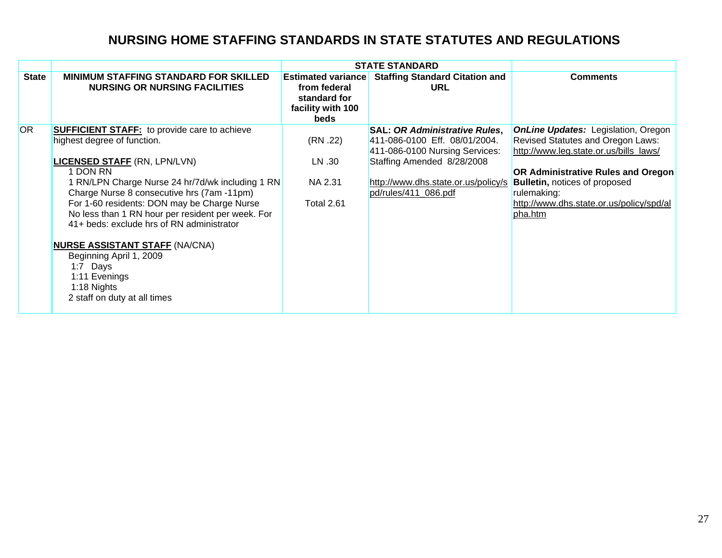|                 |                                                                                                                                                                                                                                                                                                                                                              |                                                                                        | <b>STATE STANDARD</b>                                                                                                                 |                                                                                                                                                         |
|-----------------|--------------------------------------------------------------------------------------------------------------------------------------------------------------------------------------------------------------------------------------------------------------------------------------------------------------------------------------------------------------|----------------------------------------------------------------------------------------|---------------------------------------------------------------------------------------------------------------------------------------|---------------------------------------------------------------------------------------------------------------------------------------------------------|
| <b>State</b>    | <b>MINIMUM STAFFING STANDARD FOR SKILLED</b><br><b>NURSING OR NURSING FACILITIES</b>                                                                                                                                                                                                                                                                         | <b>Estimated variance</b><br>from federal<br>standard for<br>facility with 100<br>beds | <b>Staffing Standard Citation and</b><br>URL                                                                                          | <b>Comments</b>                                                                                                                                         |
| OR <sub>1</sub> | <b>SUFFICIENT STAFF:</b> to provide care to achieve<br>highest degree of function.<br>LICENSED STAFF (RN, LPN/LVN)                                                                                                                                                                                                                                           | (RN .22)<br>LN .30                                                                     | <b>SAL: OR Administrative Rules,</b><br>411-086-0100 Eff. 08/01/2004.<br>411-086-0100 Nursing Services:<br>Staffing Amended 8/28/2008 | <b>OnLine Updates:</b> Legislation, Oregon<br>Revised Statutes and Oregon Laws:<br>http://www.leg.state.or.us/bills_laws/                               |
|                 | 1 DON RN<br>1 RN/LPN Charge Nurse 24 hr/7d/wk including 1 RN<br>Charge Nurse 8 consecutive hrs (7am -11pm)<br>For 1-60 residents: DON may be Charge Nurse<br>No less than 1 RN hour per resident per week. For<br>41+ beds: exclude hrs of RN administrator<br><b>NURSE ASSISTANT STAFF (NA/CNA)</b><br>Beginning April 1, 2009<br>1:7 Days<br>1:11 Evenings | NA 2.31<br><b>Total 2.61</b>                                                           | http://www.dhs.state.or.us/policy/s<br>pd/rules/411 086.pdf                                                                           | <b>OR Administrative Rules and Oregon</b><br><b>Bulletin, notices of proposed</b><br>rulemaking:<br>http://www.dhs.state.or.us/policy/spd/al<br>pha.htm |
|                 | 1:18 Nights<br>2 staff on duty at all times                                                                                                                                                                                                                                                                                                                  |                                                                                        |                                                                                                                                       |                                                                                                                                                         |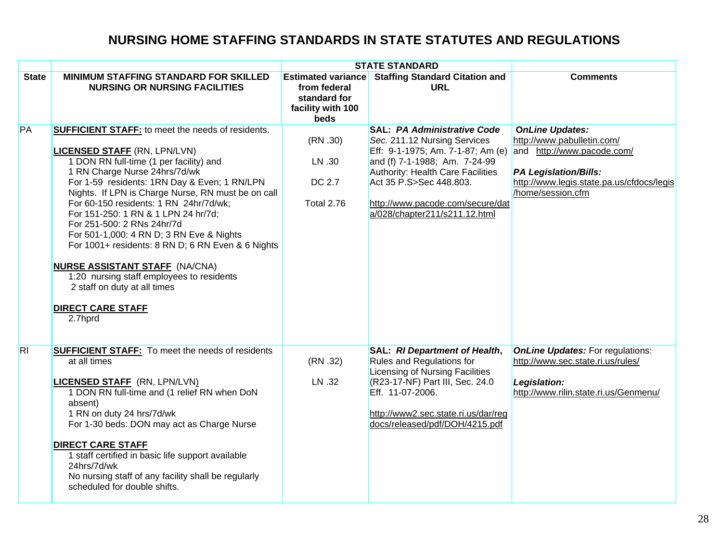|              |                                                                                                                                                                                                                                                                                                                                                                                                                                                                                                                                                                                                                                                                |                                                                                        | <b>STATE STANDARD</b>                                                                                                                                                                                                                                                                |                                                                                                                                                                                      |
|--------------|----------------------------------------------------------------------------------------------------------------------------------------------------------------------------------------------------------------------------------------------------------------------------------------------------------------------------------------------------------------------------------------------------------------------------------------------------------------------------------------------------------------------------------------------------------------------------------------------------------------------------------------------------------------|----------------------------------------------------------------------------------------|--------------------------------------------------------------------------------------------------------------------------------------------------------------------------------------------------------------------------------------------------------------------------------------|--------------------------------------------------------------------------------------------------------------------------------------------------------------------------------------|
| <b>State</b> | <b>MINIMUM STAFFING STANDARD FOR SKILLED</b><br><b>NURSING OR NURSING FACILITIES</b>                                                                                                                                                                                                                                                                                                                                                                                                                                                                                                                                                                           | <b>Estimated variance</b><br>from federal<br>standard for<br>facility with 100<br>beds | <b>Staffing Standard Citation and</b><br><b>URL</b>                                                                                                                                                                                                                                  | <b>Comments</b>                                                                                                                                                                      |
| PA           | <b>SUFFICIENT STAFF:</b> to meet the needs of residents.<br><b>LICENSED STAFF (RN, LPN/LVN)</b><br>1 DON RN full-time (1 per facility) and<br>1 RN Charge Nurse 24hrs/7d/wk<br>For 1-59 residents: 1RN Day & Even; 1 RN/LPN<br>Nights. If LPN is Charge Nurse, RN must be on call<br>For 60-150 residents: 1 RN 24hr/7d/wk;<br>For 151-250: 1 RN & 1 LPN 24 hr/7d;<br>For 251-500: 2 RNs 24hr/7d<br>For 501-1,000: 4 RN D; 3 RN Eve & Nights<br>For 1001+ residents: 8 RN D; 6 RN Even & 6 Nights<br><b>NURSE ASSISTANT STAFF (NA/CNA)</b><br>1:20 nursing staff employees to residents<br>2 staff on duty at all times<br><b>DIRECT CARE STAFF</b><br>2.7hprd | (RN.30)<br>LN .30<br>DC 2.7<br><b>Total 2.76</b>                                       | <b>SAL: PA Administrative Code</b><br>Sec. 211.12 Nursing Services<br>Eff: 9-1-1975; Am. 7-1-87; Am (e)<br>and (f) 7-1-1988; Am. 7-24-99<br><b>Authority: Health Care Facilities</b><br>Act 35 P.S>Sec 448.803.<br>http://www.pacode.com/secure/dat<br>a/028/chapter211/s211.12.html | <b>OnLine Updates:</b><br>http://www.pabulletin.com/<br>and http://www.pacode.com/<br><b>PA Legislation/Bills:</b><br>http://www.legis.state.pa.us/cfdocs/legis<br>/home/session.cfm |
| <b>RI</b>    | <b>SUFFICIENT STAFF:</b> To meet the needs of residents<br>at all times<br><b>LICENSED STAFF</b> (RN, LPN/LVN)<br>1 DON RN full-time and (1 relief RN when DoN<br>absent)<br>1 RN on duty 24 hrs/7d/wk<br>For 1-30 beds: DON may act as Charge Nurse<br><b>DIRECT CARE STAFF</b><br>1 staff certified in basic life support available<br>24hrs/7d/wk<br>No nursing staff of any facility shall be regularly<br>scheduled for double shifts.                                                                                                                                                                                                                    | (RN .32)<br>LN .32                                                                     | SAL: RI Department of Health,<br>Rules and Regulations for<br>Licensing of Nursing Facilities<br>(R23-17-NF) Part III, Sec. 24.0<br>Eff. 11-07-2006.<br>http://www2.sec.state.ri.us/dar/reg<br>docs/released/pdf/DOH/4215.pdf                                                        | <b>OnLine Updates: For regulations:</b><br>http://www.sec.state.ri.us/rules/<br>Legislation:<br>http://www.rilin.state.ri.us/Genmenu/                                                |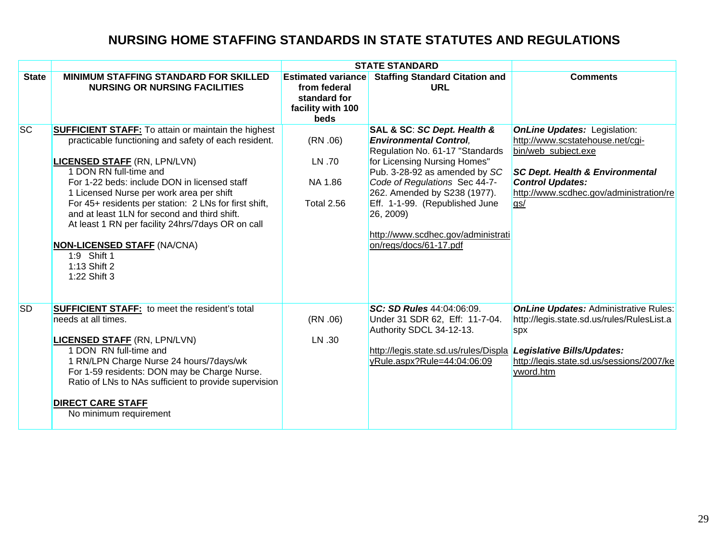|              |                                                                                                                                                                                                                                                                                                                                                                                                                                                                                                                                    |                                                                                        | <b>STATE STANDARD</b>                                                                                                                                                                                                                                                                                                                            |                                                                                                                                                                                                                           |
|--------------|------------------------------------------------------------------------------------------------------------------------------------------------------------------------------------------------------------------------------------------------------------------------------------------------------------------------------------------------------------------------------------------------------------------------------------------------------------------------------------------------------------------------------------|----------------------------------------------------------------------------------------|--------------------------------------------------------------------------------------------------------------------------------------------------------------------------------------------------------------------------------------------------------------------------------------------------------------------------------------------------|---------------------------------------------------------------------------------------------------------------------------------------------------------------------------------------------------------------------------|
| <b>State</b> | <b>MINIMUM STAFFING STANDARD FOR SKILLED</b><br><b>NURSING OR NURSING FACILITIES</b>                                                                                                                                                                                                                                                                                                                                                                                                                                               | <b>Estimated variance</b><br>from federal<br>standard for<br>facility with 100<br>beds | <b>Staffing Standard Citation and</b><br><b>URL</b>                                                                                                                                                                                                                                                                                              | <b>Comments</b>                                                                                                                                                                                                           |
| <b>SC</b>    | <b>SUFFICIENT STAFF:</b> To attain or maintain the highest<br>practicable functioning and safety of each resident.<br><b>LICENSED STAFF (RN, LPN/LVN)</b><br>1 DON RN full-time and<br>For 1-22 beds: include DON in licensed staff<br>1 Licensed Nurse per work area per shift<br>For 45+ residents per station: 2 LNs for first shift,<br>and at least 1LN for second and third shift.<br>At least 1 RN per facility 24hrs/7days OR on call<br><b>NON-LICENSED STAFF (NA/CNA)</b><br>1:9 Shift 1<br>1:13 Shift 2<br>1:22 Shift 3 | (RN.06)<br>LN .70<br>NA 1.86<br><b>Total 2.56</b>                                      | SAL & SC: SC Dept. Health &<br><b>Environmental Control.</b><br>Regulation No. 61-17 "Standards<br>for Licensing Nursing Homes"<br>Pub. 3-28-92 as amended by SC<br>Code of Regulations Sec 44-7-<br>262. Amended by S238 (1977).<br>Eff. 1-1-99. (Republished June<br>26, 2009)<br>http://www.scdhec.gov/administrati<br>on/regs/docs/61-17.pdf | <b>OnLine Updates: Legislation:</b><br>http://www.scstatehouse.net/cgi-<br>bin/web_subject.exe<br><b>SC Dept. Health &amp; Environmental</b><br><b>Control Updates:</b><br>http://www.scdhec.gov/administration/re<br>gs/ |
| <b>SD</b>    | <b>SUFFICIENT STAFF:</b> to meet the resident's total<br>needs at all times.<br><b>LICENSED STAFF (RN, LPN/LVN)</b><br>1 DON RN full-time and<br>1 RN/LPN Charge Nurse 24 hours/7days/wk<br>For 1-59 residents: DON may be Charge Nurse.<br>Ratio of LNs to NAs sufficient to provide supervision<br><b>DIRECT CARE STAFF</b><br>No minimum requirement                                                                                                                                                                            | (RN.06)<br>LN .30                                                                      | SC: SD Rules 44:04:06:09.<br>Under 31 SDR 62, Eff: 11-7-04.<br>Authority SDCL 34-12-13.<br>http://legis.state.sd.us/rules/Displa<br>yRule.aspx?Rule=44:04:06:09                                                                                                                                                                                  | <b>OnLine Updates: Administrative Rules:</b><br>http://legis.state.sd.us/rules/RulesList.a<br>spx<br>Legislative Bills/Updates:<br>http://legis.state.sd.us/sessions/2007/ke<br>yword.htm                                 |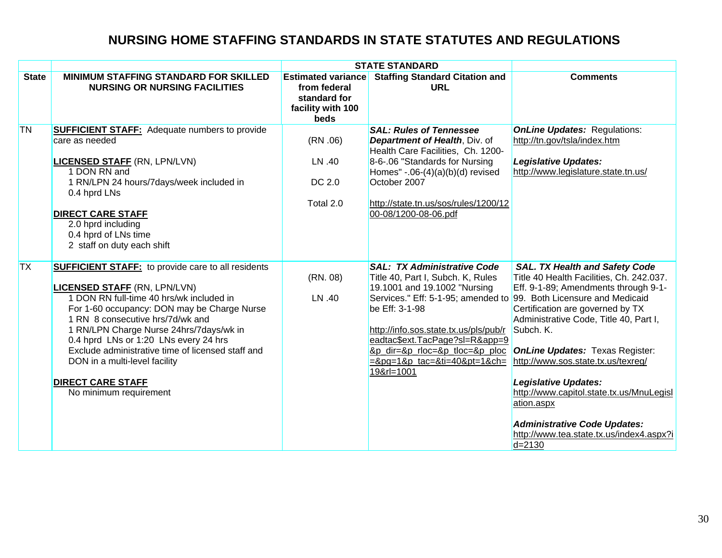|              |                                                                                                                                                                                                                                                                                                                                                                                                                                                                 | <b>STATE STANDARD</b>                                                                  |                                                                                                                                                                                                                                                                                                                               |                                                                                                                                                                                                                                                                                                                                                                                                                                                                                                                                   |
|--------------|-----------------------------------------------------------------------------------------------------------------------------------------------------------------------------------------------------------------------------------------------------------------------------------------------------------------------------------------------------------------------------------------------------------------------------------------------------------------|----------------------------------------------------------------------------------------|-------------------------------------------------------------------------------------------------------------------------------------------------------------------------------------------------------------------------------------------------------------------------------------------------------------------------------|-----------------------------------------------------------------------------------------------------------------------------------------------------------------------------------------------------------------------------------------------------------------------------------------------------------------------------------------------------------------------------------------------------------------------------------------------------------------------------------------------------------------------------------|
| <b>State</b> | <b>MINIMUM STAFFING STANDARD FOR SKILLED</b><br><b>NURSING OR NURSING FACILITIES</b>                                                                                                                                                                                                                                                                                                                                                                            | <b>Estimated variance</b><br>from federal<br>standard for<br>facility with 100<br>beds | <b>Staffing Standard Citation and</b><br><b>URL</b>                                                                                                                                                                                                                                                                           | <b>Comments</b>                                                                                                                                                                                                                                                                                                                                                                                                                                                                                                                   |
| <b>TN</b>    | <b>SUFFICIENT STAFF:</b> Adequate numbers to provide<br>care as needed<br><b>LICENSED STAFF (RN, LPN/LVN)</b><br>1 DON RN and<br>1 RN/LPN 24 hours/7days/week included in<br>0.4 hprd LNs<br><b>DIRECT CARE STAFF</b><br>2.0 hprd including<br>0.4 hprd of LNs time<br>2 staff on duty each shift                                                                                                                                                               | (RN.06)<br>LN .40<br>DC 2.0<br>Total 2.0                                               | <b>SAL: Rules of Tennessee</b><br>Department of Health, Div. of<br>Health Care Facilities, Ch. 1200-<br>8-6-.06 "Standards for Nursing<br>Homes" $-06-(4)(a)(b)(d)$ revised<br>October 2007<br>http://state.tn.us/sos/rules/1200/12<br>00-08/1200-08-06.pdf                                                                   | <b>OnLine Updates: Regulations:</b><br>http://tn.gov/tsla/index.htm<br><b>Legislative Updates:</b><br>http://www.legislature.state.tn.us/                                                                                                                                                                                                                                                                                                                                                                                         |
| <b>TX</b>    | <b>SUFFICIENT STAFF:</b> to provide care to all residents<br><b>LICENSED STAFF (RN, LPN/LVN)</b><br>1 DON RN full-time 40 hrs/wk included in<br>For 1-60 occupancy: DON may be Charge Nurse<br>1 RN 8 consecutive hrs/7d/wk and<br>1 RN/LPN Charge Nurse 24hrs/7days/wk in<br>0.4 hprd LNs or 1:20 LNs every 24 hrs<br>Exclude administrative time of licensed staff and<br>DON in a multi-level facility<br><b>DIRECT CARE STAFF</b><br>No minimum requirement | (RN. 08)<br>LN .40                                                                     | <b>SAL: TX Administrative Code</b><br>Title 40, Part I, Subch. K, Rules<br>19.1001 and 19.1002 "Nursing<br>Services." Eff: 5-1-95; amended to<br>be Eff: 3-1-98<br>http://info.sos.state.tx.us/pls/pub/r<br>eadtac\$ext.TacPage?sl=R&app=9<br>&p dir=&p rloc=&p tloc=&p ploc<br>$=$ &pg=1&p_tac=&ti=40&pt=1&ch=<br>19&rl=1001 | <b>SAL. TX Health and Safety Code</b><br>Title 40 Health Facilities, Ch. 242.037.<br>Eff. 9-1-89; Amendments through 9-1-<br>99. Both Licensure and Medicaid<br>Certification are governed by TX<br>Administrative Code, Title 40, Part I,<br>Subch. K.<br><b>OnLine Updates: Texas Register:</b><br>http://www.sos.state.tx.us/texreg/<br><b>Legislative Updates:</b><br>http://www.capitol.state.tx.us/MnuLegisl<br>ation.aspx<br><b>Administrative Code Updates:</b><br>http://www.tea.state.tx.us/index4.aspx?i<br>$d = 2130$ |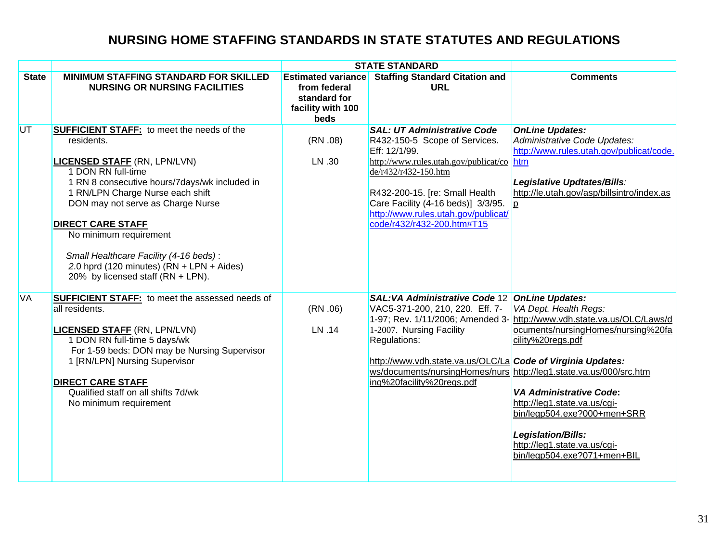|              |                                                                                                                                                                                                                                                                                                                                                                                                                                            |                                                                                               | <b>STATE STANDARD</b>                                                                                                                                                                                                                                                                                  |                                                                                                                                                                                                                                                                                                                                                  |
|--------------|--------------------------------------------------------------------------------------------------------------------------------------------------------------------------------------------------------------------------------------------------------------------------------------------------------------------------------------------------------------------------------------------------------------------------------------------|-----------------------------------------------------------------------------------------------|--------------------------------------------------------------------------------------------------------------------------------------------------------------------------------------------------------------------------------------------------------------------------------------------------------|--------------------------------------------------------------------------------------------------------------------------------------------------------------------------------------------------------------------------------------------------------------------------------------------------------------------------------------------------|
| <b>State</b> | <b>MINIMUM STAFFING STANDARD FOR SKILLED</b><br><b>NURSING OR NURSING FACILITIES</b>                                                                                                                                                                                                                                                                                                                                                       | <b>Estimated variance</b><br>from federal<br>standard for<br>facility with 100<br><b>beds</b> | <b>Staffing Standard Citation and</b><br><b>URL</b>                                                                                                                                                                                                                                                    | <b>Comments</b>                                                                                                                                                                                                                                                                                                                                  |
| UT           | <b>SUFFICIENT STAFF:</b> to meet the needs of the<br>residents.<br><b>LICENSED STAFF (RN, LPN/LVN)</b><br>1 DON RN full-time<br>1 RN 8 consecutive hours/7days/wk included in<br>1 RN/LPN Charge Nurse each shift<br>DON may not serve as Charge Nurse<br><b>DIRECT CARE STAFF</b><br>No minimum requirement<br>Small Healthcare Facility (4-16 beds):<br>2.0 hprd (120 minutes) $(RN + LPN + Aides)$<br>20% by licensed staff (RN + LPN). | (RN.08)<br>LN .30                                                                             | <b>SAL: UT Administrative Code</b><br>R432-150-5 Scope of Services.<br>Eff: 12/1/99.<br>http://www.rules.utah.gov/publicat/co htm<br>de/r432/r432-150.htm<br>R432-200-15. [re: Small Health<br>Care Facility (4-16 beds)] 3/3/95.<br>http://www.rules.utah.gov/publicat/<br>code/r432/r432-200.htm#T15 | <b>OnLine Updates:</b><br>Administrative Code Updates:<br>http://www.rules.utah.gov/publicat/code.<br>Legislative Updtates/Bills:<br>http://le.utah.gov/asp/billsintro/index.as<br>$\overline{p}$                                                                                                                                                |
| <b>VA</b>    | <b>SUFFICIENT STAFF:</b> to meet the assessed needs of<br>all residents.<br><b>LICENSED STAFF (RN, LPN/LVN)</b><br>1 DON RN full-time 5 days/wk<br>For 1-59 beds: DON may be Nursing Supervisor<br>1 [RN/LPN] Nursing Supervisor<br><b>DIRECT CARE STAFF</b><br>Qualified staff on all shifts 7d/wk<br>No minimum requirement                                                                                                              | (RN.06)<br>LN .14                                                                             | <b>SAL:VA Administrative Code 12 OnLine Updates:</b><br>VAC5-371-200, 210, 220. Eff. 7-<br>1-2007. Nursing Facility<br>Regulations:<br>http://www.vdh.state.va.us/OLC/La Code of Virginia Updates:<br>ws/documents/nursingHomes/nurs http://leg1.state.va.us/000/src.htm<br>ing%20facility%20regs.pdf  | VA Dept. Health Regs:<br>1-97; Rev. 1/11/2006; Amended 3- http://www.vdh.state.va.us/OLC/Laws/d<br>ocuments/nursingHomes/nursing%20fa<br>cility%20regs.pdf<br><b>VA Administrative Code:</b><br>http://leg1.state.va.us/cgi-<br>bin/legp504.exe?000+men+SRR<br>Legislation/Bills:<br>http://leg1.state.va.us/cgi-<br>bin/legp504.exe?071+men+BIL |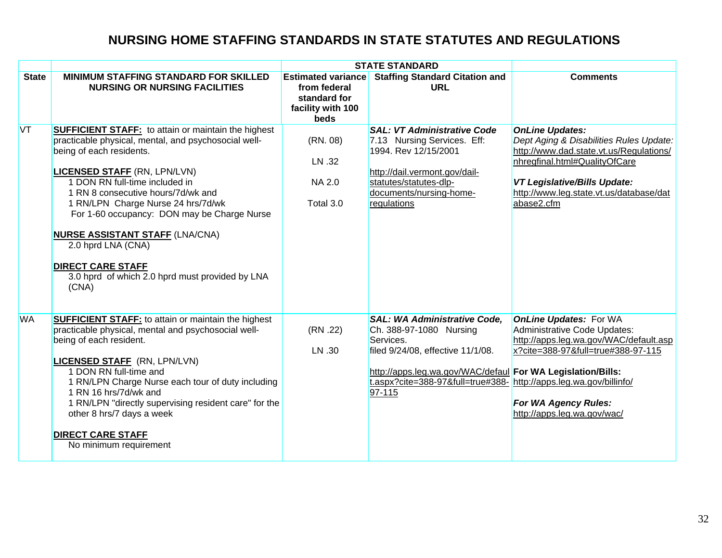|              |                                                                                                                                                                                                                                                                                                                                                                                                                                                                                                            | <b>STATE STANDARD</b>                                                                  |                                                                                                                                                                                                                                                                 |                                                                                                                                                                                                                                               |
|--------------|------------------------------------------------------------------------------------------------------------------------------------------------------------------------------------------------------------------------------------------------------------------------------------------------------------------------------------------------------------------------------------------------------------------------------------------------------------------------------------------------------------|----------------------------------------------------------------------------------------|-----------------------------------------------------------------------------------------------------------------------------------------------------------------------------------------------------------------------------------------------------------------|-----------------------------------------------------------------------------------------------------------------------------------------------------------------------------------------------------------------------------------------------|
| <b>State</b> | <b>MINIMUM STAFFING STANDARD FOR SKILLED</b><br><b>NURSING OR NURSING FACILITIES</b>                                                                                                                                                                                                                                                                                                                                                                                                                       | <b>Estimated variance</b><br>from federal<br>standard for<br>facility with 100<br>beds | <b>Staffing Standard Citation and</b><br><b>URL</b>                                                                                                                                                                                                             | <b>Comments</b>                                                                                                                                                                                                                               |
| <b>VT</b>    | <b>SUFFICIENT STAFF:</b> to attain or maintain the highest<br>practicable physical, mental, and psychosocial well-<br>being of each residents.<br><b>LICENSED STAFF (RN, LPN/LVN)</b><br>1 DON RN full-time included in<br>1 RN 8 consecutive hours/7d/wk and<br>1 RN/LPN Charge Nurse 24 hrs/7d/wk<br>For 1-60 occupancy: DON may be Charge Nurse<br><b>NURSE ASSISTANT STAFF (LNA/CNA)</b><br>2.0 hprd LNA (CNA)<br><b>DIRECT CARE STAFF</b><br>3.0 hprd of which 2.0 hprd must provided by LNA<br>(CNA) | (RN. 08)<br>LN .32<br><b>NA 2.0</b><br>Total 3.0                                       | <b>SAL: VT Administrative Code</b><br>7.13 Nursing Services. Eff:<br>1994. Rev 12/15/2001<br>http://dail.vermont.gov/dail-<br>statutes/statutes-dlp-<br>documents/nursing-home-<br>regulations                                                                  | <b>OnLine Updates:</b><br>Dept Aging & Disabilities Rules Update:<br>http://www.dad.state.vt.us/Regulations/<br>nhregfinal.html#QualityOfCare<br><b>VT Legislative/Bills Update:</b><br>http://www.leg.state.vt.us/database/dat<br>abase2.cfm |
| <b>WA</b>    | <b>SUFFICIENT STAFF:</b> to attain or maintain the highest<br>practicable physical, mental and psychosocial well-<br>being of each resident.<br><b>LICENSED STAFF</b> (RN, LPN/LVN)<br>1 DON RN full-time and<br>1 RN/LPN Charge Nurse each tour of duty including<br>1 RN 16 hrs/7d/wk and<br>1 RN/LPN "directly supervising resident care" for the<br>other 8 hrs/7 days a week<br><b>DIRECT CARE STAFF</b><br>No minimum requirement                                                                    | (RN .22)<br>LN .30                                                                     | <b>SAL: WA Administrative Code,</b><br>Ch. 388-97-1080 Nursing<br>Services.<br>filed 9/24/08, effective 11/1/08.<br>http://apps.leg.wa.gov/WAC/defaul For WA Legislation/Bills:<br>t.aspx?cite=388-97&full=true#388- http://apps.leg.wa.gov/billinfo/<br>97-115 | <b>OnLine Updates: For WA</b><br>Administrative Code Updates:<br>http://apps.leg.wa.gov/WAC/default.asp<br>x?cite=388-97&full=true#388-97-115<br>For WA Agency Rules:<br>http://apps.leg.wa.gov/wac/                                          |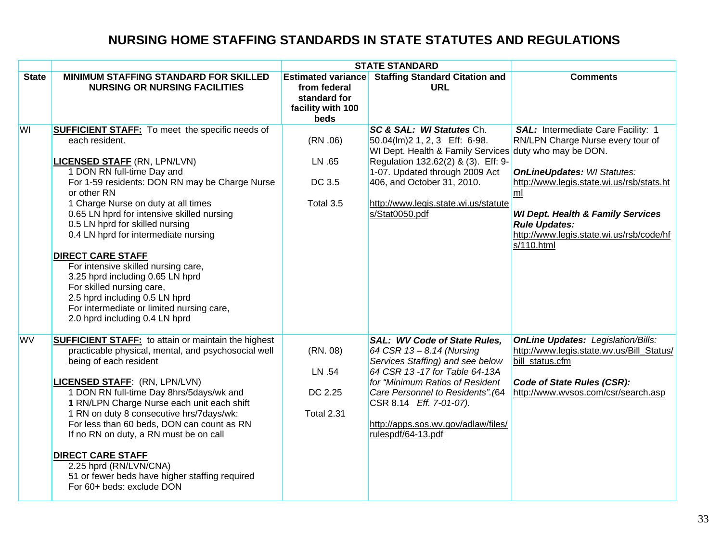|              |                                                                                                                                                                                                                                                                                                                                                                                                                                                                                                                                                                                                                                     |                                                                                        | <b>STATE STANDARD</b>                                                                                                                                                                                                                                                                                   |                                                                                                                                                                                                                                                                                                    |
|--------------|-------------------------------------------------------------------------------------------------------------------------------------------------------------------------------------------------------------------------------------------------------------------------------------------------------------------------------------------------------------------------------------------------------------------------------------------------------------------------------------------------------------------------------------------------------------------------------------------------------------------------------------|----------------------------------------------------------------------------------------|---------------------------------------------------------------------------------------------------------------------------------------------------------------------------------------------------------------------------------------------------------------------------------------------------------|----------------------------------------------------------------------------------------------------------------------------------------------------------------------------------------------------------------------------------------------------------------------------------------------------|
| <b>State</b> | <b>MINIMUM STAFFING STANDARD FOR SKILLED</b><br><b>NURSING OR NURSING FACILITIES</b>                                                                                                                                                                                                                                                                                                                                                                                                                                                                                                                                                | <b>Estimated variance</b><br>from federal<br>standard for<br>facility with 100<br>beds | <b>Staffing Standard Citation and</b><br><b>URL</b>                                                                                                                                                                                                                                                     | <b>Comments</b>                                                                                                                                                                                                                                                                                    |
| <b>WI</b>    | <b>SUFFICIENT STAFF:</b> To meet the specific needs of<br>each resident.<br><b>LICENSED STAFF (RN, LPN/LVN)</b><br>1 DON RN full-time Day and<br>For 1-59 residents: DON RN may be Charge Nurse<br>or other RN<br>1 Charge Nurse on duty at all times<br>0.65 LN hprd for intensive skilled nursing<br>0.5 LN hprd for skilled nursing<br>0.4 LN hprd for intermediate nursing<br><b>DIRECT CARE STAFF</b><br>For intensive skilled nursing care,<br>3.25 hprd including 0.65 LN hprd<br>For skilled nursing care,<br>2.5 hprd including 0.5 LN hprd<br>For intermediate or limited nursing care,<br>2.0 hprd including 0.4 LN hprd | (RN.06)<br>LN .65<br>DC 3.5<br>Total 3.5                                               | SC & SAL: WI Statutes Ch.<br>50.04(lm)2 1, 2, 3 Eff: 6-98.<br>WI Dept. Health & Family Services duty who may be DON.<br>Regulation 132.62(2) & (3). Eff: 9-<br>1-07. Updated through 2009 Act<br>406, and October 31, 2010.<br>http://www.legis.state.wi.us/statute<br>s/Stat0050.pdf                   | SAL: Intermediate Care Facility: 1<br>RN/LPN Charge Nurse every tour of<br><b>OnLineUpdates: WI Statutes:</b><br>http://www.legis.state.wi.us/rsb/stats.ht<br>ml<br><b>WI Dept. Health &amp; Family Services</b><br><b>Rule Updates:</b><br>http://www.legis.state.wi.us/rsb/code/hf<br>s/110.html |
| <b>WV</b>    | <b>SUFFICIENT STAFF:</b> to attain or maintain the highest<br>practicable physical, mental, and psychosocial well<br>being of each resident<br><b>LICENSED STAFF: (RN, LPN/LVN)</b><br>1 DON RN full-time Day 8hrs/5days/wk and<br>1 RN/LPN Charge Nurse each unit each shift<br>1 RN on duty 8 consecutive hrs/7days/wk:<br>For less than 60 beds, DON can count as RN<br>If no RN on duty, a RN must be on call<br><b>DIRECT CARE STAFF</b><br>2.25 hprd (RN/LVN/CNA)<br>51 or fewer beds have higher staffing required<br>For 60+ beds: exclude DON                                                                              | (RN. 08)<br>LN .54<br>DC 2.25<br><b>Total 2.31</b>                                     | <b>SAL: WV Code of State Rules,</b><br>64 CSR 13 - 8.14 (Nursing<br>Services Staffing) and see below<br>64 CSR 13 - 17 for Table 64-13A<br>for "Minimum Ratios of Resident<br>Care Personnel to Residents". (64<br>CSR 8.14 Eff. 7-01-07).<br>http://apps.sos.wv.gov/adlaw/files/<br>rulespdf/64-13.pdf | <b>OnLine Updates: Legislation/Bills:</b><br>http://www.legis.state.wv.us/Bill Status/<br>bill status.cfm<br>Code of State Rules (CSR):<br>http://www.wvsos.com/csr/search.asp                                                                                                                     |